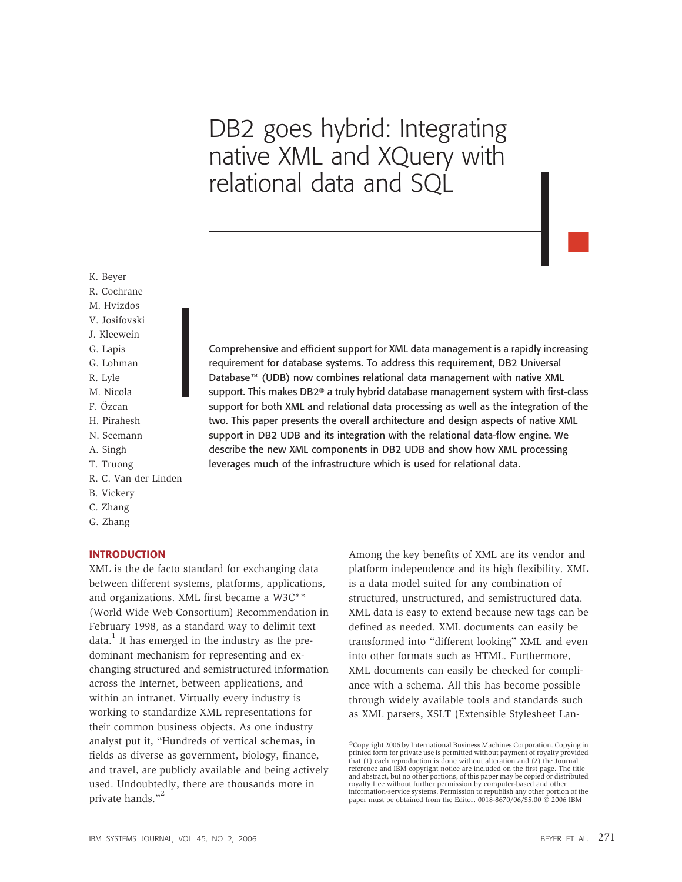DB2 goes hybrid: Integrating native XML and XQuery with relational data and SQL

K. Beyer

R. Cochrane

M. Hvizdos

V. Josifovski

J. Kleewein

G. Lapis

- G. Lohman
- R. Lyle
- M. Nicola
- F. Özcan
- H. Pirahesh
- N. Seemann
- A. Singh
- T. Truong
- R. C. Van der Linden
- B. Vickery
- C. Zhang
- G. Zhang

## INTRODUCTION

XML is the de facto standard for exchanging data between different systems, platforms, applications, and organizations. XML first became a W3C\*\* (World Wide Web Consortium) Recommendation in February 1998, as a standard way to delimit text data.<sup>1</sup> It has emerged in the industry as the predominant mechanism for representing and exchanging structured and semistructured information across the Internet, between applications, and within an intranet. Virtually every industry is working to standardize XML representations for their common business objects. As one industry analyst put it, ''Hundreds of vertical schemas, in fields as diverse as government, biology, finance, and travel, are publicly available and being actively used. Undoubtedly, there are thousands more in private hands. $"$ <sup>2</sup>

Comprehensive and efficient support for XML data management is a rapidly increasing requirement for database systems. To address this requirement, DB2 Universal Database $m$  (UDB) now combines relational data management with native XML support. This makes DB2® a truly hybrid database management system with first-class support for both XML and relational data processing as well as the integration of the two. This paper presents the overall architecture and design aspects of native XML support in DB2 UDB and its integration with the relational data-flow engine. We describe the new XML components in DB2 UDB and show how XML processing leverages much of the infrastructure which is used for relational data.

> Among the key benefits of XML are its vendor and platform independence and its high flexibility. XML is a data model suited for any combination of structured, unstructured, and semistructured data. XML data is easy to extend because new tags can be defined as needed. XML documents can easily be transformed into ''different looking'' XML and even into other formats such as HTML. Furthermore, XML documents can easily be checked for compliance with a schema. All this has become possible through widely available tools and standards such as XML parsers, XSLT (Extensible Stylesheet Lan-

 $\mathbb{R}^d$ 

Copyright 2006 by International Business Machines Corporation. Copying in printed form for private use is permitted without payment of royalty provided that (1) each reproduction is done without alteration and (2) the Journal reference and IBM copyright notice are included on the first page. The title and abstract, but no other portions, of this paper may be copied or distributed royalty free without further permission by computer-based and other information-service systems. Permission to republish any other portion of the paper must be obtained from the Editor. 0018-8670/06/\$5.00 2006 IBM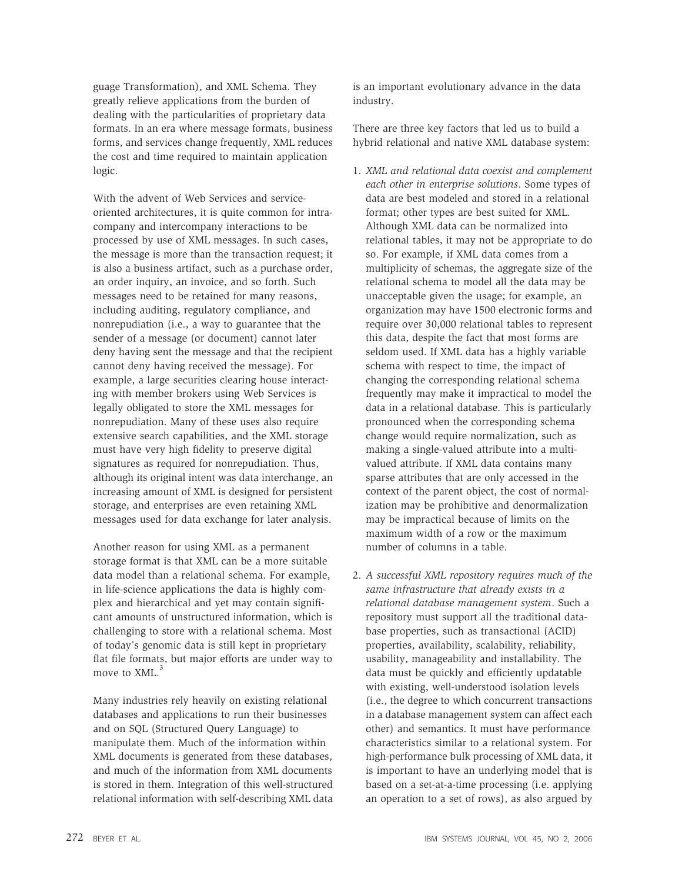guage Transformation), and XML Schema. They greatly relieve applications from the burden of dealing with the particularities of proprietary data formats. In an era where message formats, business forms, and services change frequently, XML reduces the cost and time required to maintain application logic.

With the advent of Web Services and serviceoriented architectures, it is quite common for intracompany and intercompany interactions to be processed by use of XML messages. In such cases, the message is more than the transaction request; it is also a business artifact, such as a purchase order, an order inquiry, an invoice, and so forth. Such messages need to be retained for many reasons, including auditing, regulatory compliance, and nonrepudiation (i.e., a way to guarantee that the sender of a message (or document) cannot later deny having sent the message and that the recipient cannot deny having received the message). For example, a large securities clearing house interacting with member brokers using Web Services is legally obligated to store the XML messages for nonrepudiation. Many of these uses also require extensive search capabilities, and the XML storage must have very high fidelity to preserve digital signatures as required for nonrepudiation. Thus, although its original intent was data interchange, an increasing amount of XML is designed for persistent storage, and enterprises are even retaining XML messages used for data exchange for later analysis.

Another reason for using XML as a permanent storage format is that XML can be a more suitable data model than a relational schema. For example, in life-science applications the data is highly complex and hierarchical and yet may contain significant amounts of unstructured information, which is challenging to store with a relational schema. Most of today's genomic data is still kept in proprietary flat file formats, but major efforts are under way to move to XML.<sup>3</sup>

Many industries rely heavily on existing relational databases and applications to run their businesses and on SQL (Structured Query Language) to manipulate them. Much of the information within XML documents is generated from these databases, and much of the information from XML documents is stored in them. Integration of this well-structured relational information with self-describing XML data is an important evolutionary advance in the data industry.

There are three key factors that led us to build a hybrid relational and native XML database system:

- 1. XML and relational data coexist and complement each other in enterprise solutions. Some types of data are best modeled and stored in a relational format; other types are best suited for XML. Although XML data can be normalized into relational tables, it may not be appropriate to do so. For example, if XML data comes from a multiplicity of schemas, the aggregate size of the relational schema to model all the data may be unacceptable given the usage; for example, an organization may have 1500 electronic forms and require over 30,000 relational tables to represent this data, despite the fact that most forms are seldom used. If XML data has a highly variable schema with respect to time, the impact of changing the corresponding relational schema frequently may make it impractical to model the data in a relational database. This is particularly pronounced when the corresponding schema change would require normalization, such as making a single-valued attribute into a multivalued attribute. If XML data contains many sparse attributes that are only accessed in the context of the parent object, the cost of normalization may be prohibitive and denormalization may be impractical because of limits on the maximum width of a row or the maximum number of columns in a table.
- 2. A successful XML repository requires much of the same infrastructure that already exists in a relational database management system. Such a repository must support all the traditional database properties, such as transactional (ACID) properties, availability, scalability, reliability, usability, manageability and installability. The data must be quickly and efficiently updatable with existing, well-understood isolation levels (i.e., the degree to which concurrent transactions in a database management system can affect each other) and semantics. It must have performance characteristics similar to a relational system. For high-performance bulk processing of XML data, it is important to have an underlying model that is based on a set-at-a-time processing (i.e. applying an operation to a set of rows), as also argued by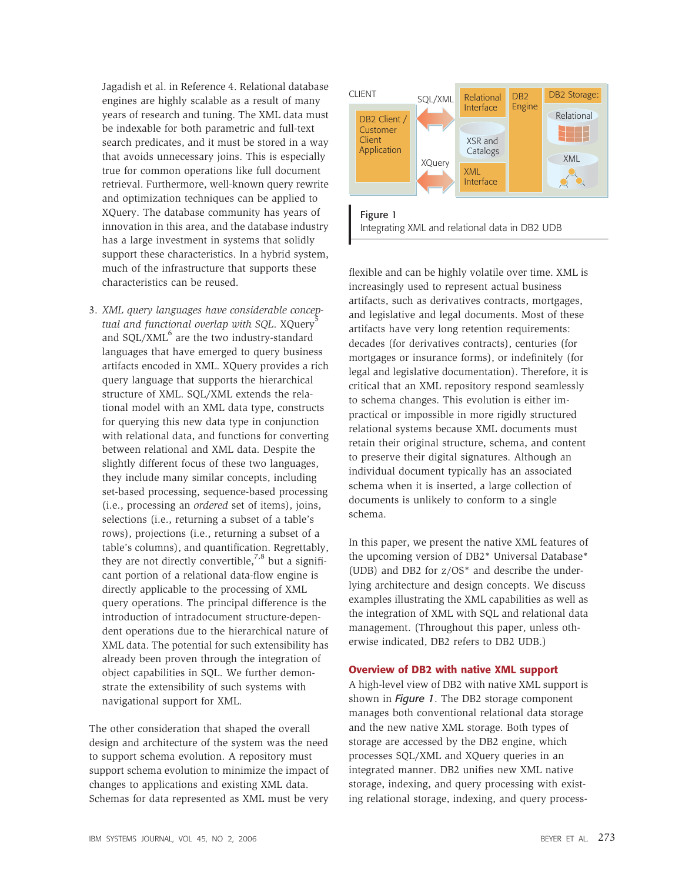Jagadish et al. in Reference 4. Relational database engines are highly scalable as a result of many years of research and tuning. The XML data must be indexable for both parametric and full-text search predicates, and it must be stored in a way that avoids unnecessary joins. This is especially true for common operations like full document retrieval. Furthermore, well-known query rewrite and optimization techniques can be applied to XQuery. The database community has years of innovation in this area, and the database industry has a large investment in systems that solidly support these characteristics. In a hybrid system, much of the infrastructure that supports these characteristics can be reused.

3. XML query languages have considerable conceptual and functional overlap with SQL. XQuery<sup>5</sup> and SQL/XML<sup>6</sup> are the two industry-standard languages that have emerged to query business artifacts encoded in XML. XQuery provides a rich query language that supports the hierarchical structure of XML. SQL/XML extends the relational model with an XML data type, constructs for querying this new data type in conjunction with relational data, and functions for converting between relational and XML data. Despite the slightly different focus of these two languages, they include many similar concepts, including set-based processing, sequence-based processing (i.e., processing an ordered set of items), joins, selections (i.e., returning a subset of a table's rows), projections (i.e., returning a subset of a table's columns), and quantification. Regrettably, they are not directly convertible,<sup>7,8</sup> but a significant portion of a relational data-flow engine is directly applicable to the processing of XML query operations. The principal difference is the introduction of intradocument structure-dependent operations due to the hierarchical nature of XML data. The potential for such extensibility has already been proven through the integration of object capabilities in SQL. We further demonstrate the extensibility of such systems with navigational support for XML.

The other consideration that shaped the overall design and architecture of the system was the need to support schema evolution. A repository must support schema evolution to minimize the impact of changes to applications and existing XML data. Schemas for data represented as XML must be very



flexible and can be highly volatile over time. XML is increasingly used to represent actual business artifacts, such as derivatives contracts, mortgages, and legislative and legal documents. Most of these artifacts have very long retention requirements: decades (for derivatives contracts), centuries (for mortgages or insurance forms), or indefinitely (for legal and legislative documentation). Therefore, it is critical that an XML repository respond seamlessly to schema changes. This evolution is either impractical or impossible in more rigidly structured relational systems because XML documents must retain their original structure, schema, and content to preserve their digital signatures. Although an individual document typically has an associated schema when it is inserted, a large collection of documents is unlikely to conform to a single schema.

In this paper, we present the native XML features of the upcoming version of DB2\* Universal Database\* (UDB) and DB2 for z/OS\* and describe the underlying architecture and design concepts. We discuss examples illustrating the XML capabilities as well as the integration of XML with SQL and relational data management. (Throughout this paper, unless otherwise indicated, DB2 refers to DB2 UDB.)

### Overview of DB2 with native XML support

A high-level view of DB2 with native XML support is shown in Figure 1. The DB2 storage component manages both conventional relational data storage and the new native XML storage. Both types of storage are accessed by the DB2 engine, which processes SQL/XML and XQuery queries in an integrated manner. DB2 unifies new XML native storage, indexing, and query processing with existing relational storage, indexing, and query process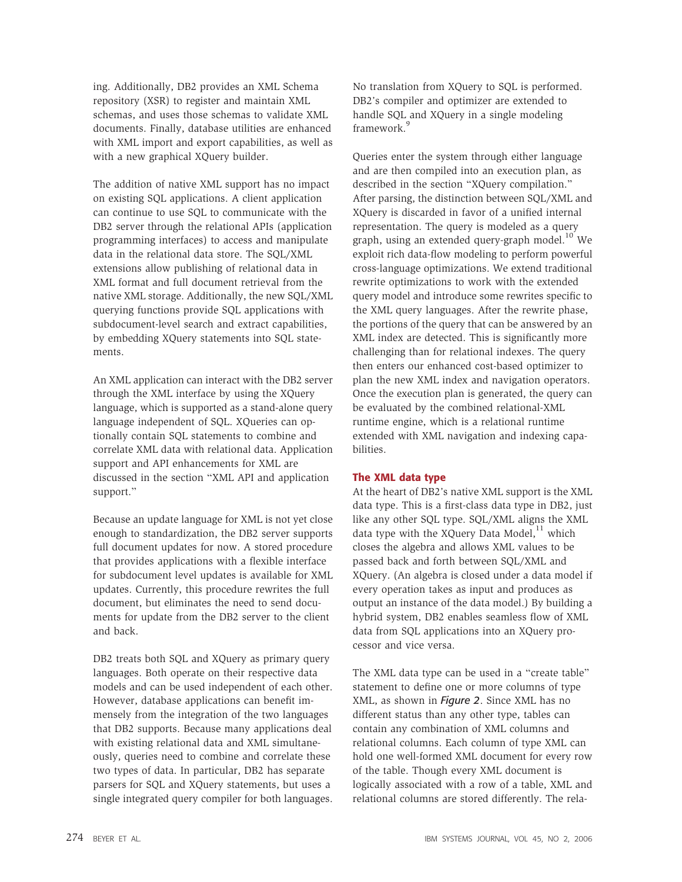ing. Additionally, DB2 provides an XML Schema repository (XSR) to register and maintain XML schemas, and uses those schemas to validate XML documents. Finally, database utilities are enhanced with XML import and export capabilities, as well as with a new graphical XQuery builder.

The addition of native XML support has no impact on existing SQL applications. A client application can continue to use SQL to communicate with the DB2 server through the relational APIs (application programming interfaces) to access and manipulate data in the relational data store. The SQL/XML extensions allow publishing of relational data in XML format and full document retrieval from the native XML storage. Additionally, the new SQL/XML querying functions provide SQL applications with subdocument-level search and extract capabilities, by embedding XQuery statements into SQL statements.

An XML application can interact with the DB2 server through the XML interface by using the XQuery language, which is supported as a stand-alone query language independent of SQL. XQueries can optionally contain SQL statements to combine and correlate XML data with relational data. Application support and API enhancements for XML are discussed in the section ''XML API and application support.''

Because an update language for XML is not yet close enough to standardization, the DB2 server supports full document updates for now. A stored procedure that provides applications with a flexible interface for subdocument level updates is available for XML updates. Currently, this procedure rewrites the full document, but eliminates the need to send documents for update from the DB2 server to the client and back.

DB2 treats both SQL and XQuery as primary query languages. Both operate on their respective data models and can be used independent of each other. However, database applications can benefit immensely from the integration of the two languages that DB2 supports. Because many applications deal with existing relational data and XML simultaneously, queries need to combine and correlate these two types of data. In particular, DB2 has separate parsers for SQL and XQuery statements, but uses a single integrated query compiler for both languages.

No translation from XQuery to SQL is performed. DB2's compiler and optimizer are extended to handle SQL and XQuery in a single modeling framework.<sup>9</sup>

Queries enter the system through either language and are then compiled into an execution plan, as described in the section ''XQuery compilation.'' After parsing, the distinction between SQL/XML and XQuery is discarded in favor of a unified internal representation. The query is modeled as a query graph, using an extended query-graph model.<sup>10</sup> We exploit rich data-flow modeling to perform powerful cross-language optimizations. We extend traditional rewrite optimizations to work with the extended query model and introduce some rewrites specific to the XML query languages. After the rewrite phase, the portions of the query that can be answered by an XML index are detected. This is significantly more challenging than for relational indexes. The query then enters our enhanced cost-based optimizer to plan the new XML index and navigation operators. Once the execution plan is generated, the query can be evaluated by the combined relational-XML runtime engine, which is a relational runtime extended with XML navigation and indexing capabilities.

## The XML data type

At the heart of DB2's native XML support is the XML data type. This is a first-class data type in DB2, just like any other SQL type. SQL/XML aligns the XML data type with the XQuery Data Model, $11$  which closes the algebra and allows XML values to be passed back and forth between SQL/XML and XQuery. (An algebra is closed under a data model if every operation takes as input and produces as output an instance of the data model.) By building a hybrid system, DB2 enables seamless flow of XML data from SQL applications into an XQuery processor and vice versa.

The XML data type can be used in a ''create table'' statement to define one or more columns of type XML, as shown in **Figure 2**. Since XML has no different status than any other type, tables can contain any combination of XML columns and relational columns. Each column of type XML can hold one well-formed XML document for every row of the table. Though every XML document is logically associated with a row of a table, XML and relational columns are stored differently. The rela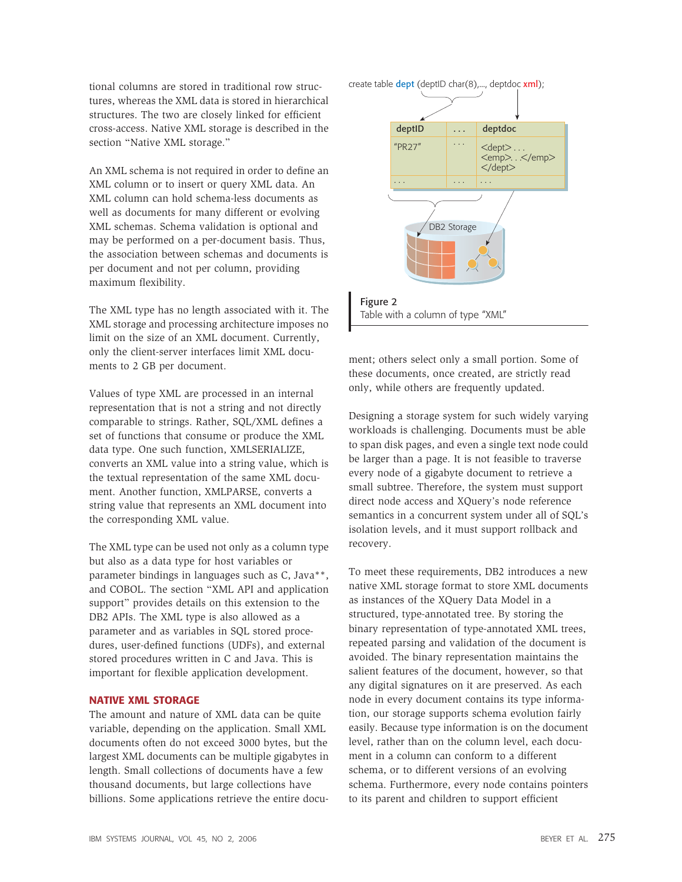tional columns are stored in traditional row structures, whereas the XML data is stored in hierarchical structures. The two are closely linked for efficient cross-access. Native XML storage is described in the section ''Native XML storage.''

An XML schema is not required in order to define an XML column or to insert or query XML data. An XML column can hold schema-less documents as well as documents for many different or evolving XML schemas. Schema validation is optional and may be performed on a per-document basis. Thus, the association between schemas and documents is per document and not per column, providing maximum flexibility.

The XML type has no length associated with it. The XML storage and processing architecture imposes no limit on the size of an XML document. Currently, only the client-server interfaces limit XML documents to 2 GB per document.

Values of type XML are processed in an internal representation that is not a string and not directly comparable to strings. Rather, SQL/XML defines a set of functions that consume or produce the XML data type. One such function, XMLSERIALIZE, converts an XML value into a string value, which is the textual representation of the same XML document. Another function, XMLPARSE, converts a string value that represents an XML document into the corresponding XML value.

The XML type can be used not only as a column type but also as a data type for host variables or parameter bindings in languages such as C, Java\*\*, and COBOL. The section ''XML API and application support'' provides details on this extension to the DB2 APIs. The XML type is also allowed as a parameter and as variables in SQL stored procedures, user-defined functions (UDFs), and external stored procedures written in C and Java. This is important for flexible application development.

## NATIVE XML STORAGE

The amount and nature of XML data can be quite variable, depending on the application. Small XML documents often do not exceed 3000 bytes, but the largest XML documents can be multiple gigabytes in length. Small collections of documents have a few thousand documents, but large collections have billions. Some applications retrieve the entire docucreate table **dept** (deptID char(8),..., deptdoc xml);



Table with a column of type "XML"

ment; others select only a small portion. Some of these documents, once created, are strictly read only, while others are frequently updated.

Designing a storage system for such widely varying workloads is challenging. Documents must be able to span disk pages, and even a single text node could be larger than a page. It is not feasible to traverse every node of a gigabyte document to retrieve a small subtree. Therefore, the system must support direct node access and XQuery's node reference semantics in a concurrent system under all of SQL's isolation levels, and it must support rollback and recovery.

To meet these requirements, DB2 introduces a new native XML storage format to store XML documents as instances of the XQuery Data Model in a structured, type-annotated tree. By storing the binary representation of type-annotated XML trees, repeated parsing and validation of the document is avoided. The binary representation maintains the salient features of the document, however, so that any digital signatures on it are preserved. As each node in every document contains its type information, our storage supports schema evolution fairly easily. Because type information is on the document level, rather than on the column level, each document in a column can conform to a different schema, or to different versions of an evolving schema. Furthermore, every node contains pointers to its parent and children to support efficient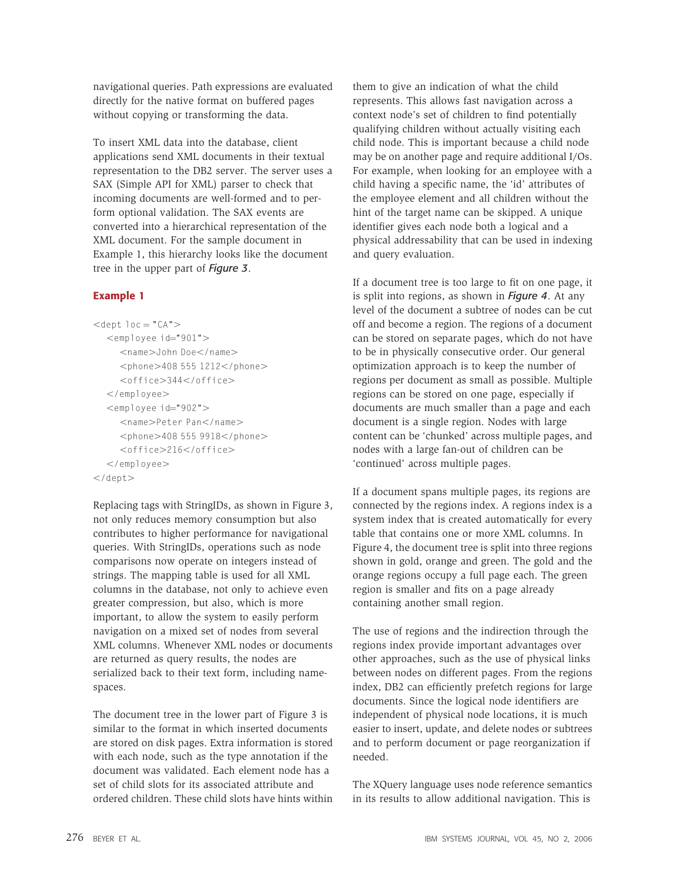navigational queries. Path expressions are evaluated directly for the native format on buffered pages without copying or transforming the data.

To insert XML data into the database, client applications send XML documents in their textual representation to the DB2 server. The server uses a SAX (Simple API for XML) parser to check that incoming documents are well-formed and to perform optional validation. The SAX events are converted into a hierarchical representation of the XML document. For the sample document in Example 1, this hierarchy looks like the document tree in the upper part of *Figure 3*.

## Example 1

```
\ledept loc = "CA"><employee id="901"><name>John Doe</name>
    <phone>408 555 1212</phone><office>344</office></employee><employee id="902"><name>Peter Pan</name>
    <phone>408 555 9918</phone><office>216</office></employee></dept>
```
Replacing tags with StringIDs, as shown in Figure 3, not only reduces memory consumption but also contributes to higher performance for navigational queries. With StringIDs, operations such as node comparisons now operate on integers instead of strings. The mapping table is used for all XML columns in the database, not only to achieve even greater compression, but also, which is more important, to allow the system to easily perform navigation on a mixed set of nodes from several XML columns. Whenever XML nodes or documents are returned as query results, the nodes are serialized back to their text form, including namespaces.

The document tree in the lower part of Figure 3 is similar to the format in which inserted documents are stored on disk pages. Extra information is stored with each node, such as the type annotation if the document was validated. Each element node has a set of child slots for its associated attribute and ordered children. These child slots have hints within them to give an indication of what the child represents. This allows fast navigation across a context node's set of children to find potentially qualifying children without actually visiting each child node. This is important because a child node may be on another page and require additional I/Os. For example, when looking for an employee with a child having a specific name, the 'id' attributes of the employee element and all children without the hint of the target name can be skipped. A unique identifier gives each node both a logical and a physical addressability that can be used in indexing and query evaluation.

If a document tree is too large to fit on one page, it is split into regions, as shown in **Figure 4**. At any level of the document a subtree of nodes can be cut off and become a region. The regions of a document can be stored on separate pages, which do not have to be in physically consecutive order. Our general optimization approach is to keep the number of regions per document as small as possible. Multiple regions can be stored on one page, especially if documents are much smaller than a page and each document is a single region. Nodes with large content can be 'chunked' across multiple pages, and nodes with a large fan-out of children can be 'continued' across multiple pages.

If a document spans multiple pages, its regions are connected by the regions index. A regions index is a system index that is created automatically for every table that contains one or more XML columns. In Figure 4, the document tree is split into three regions shown in gold, orange and green. The gold and the orange regions occupy a full page each. The green region is smaller and fits on a page already containing another small region.

The use of regions and the indirection through the regions index provide important advantages over other approaches, such as the use of physical links between nodes on different pages. From the regions index, DB2 can efficiently prefetch regions for large documents. Since the logical node identifiers are independent of physical node locations, it is much easier to insert, update, and delete nodes or subtrees and to perform document or page reorganization if needed.

The XQuery language uses node reference semantics in its results to allow additional navigation. This is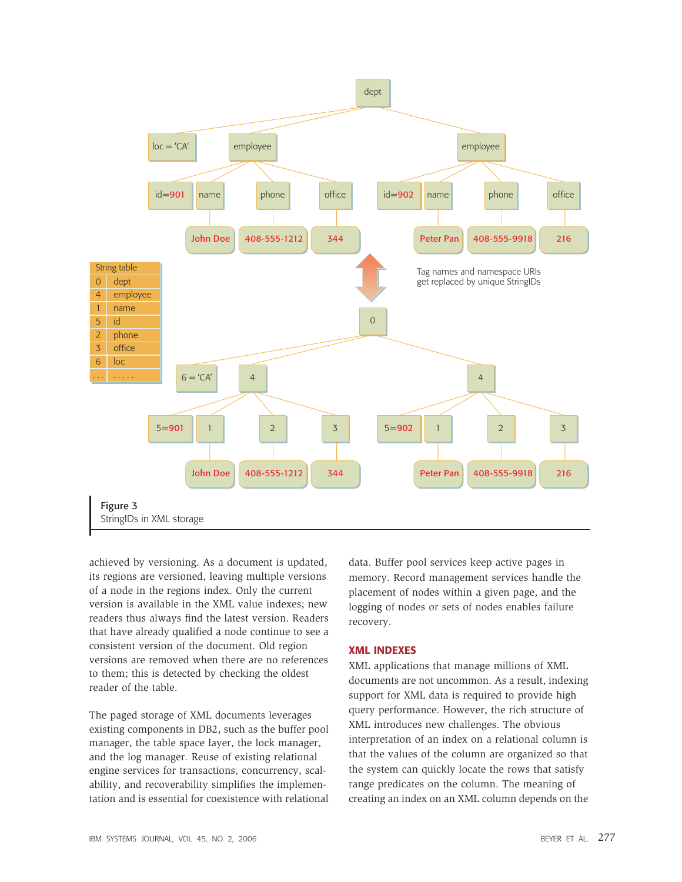

achieved by versioning. As a document is updated, its regions are versioned, leaving multiple versions of a node in the regions index. Only the current version is available in the XML value indexes; new readers thus always find the latest version. Readers that have already qualified a node continue to see a consistent version of the document. Old region versions are removed when there are no references to them; this is detected by checking the oldest reader of the table.

The paged storage of XML documents leverages existing components in DB2, such as the buffer pool manager, the table space layer, the lock manager, and the log manager. Reuse of existing relational engine services for transactions, concurrency, scalability, and recoverability simplifies the implementation and is essential for coexistence with relational

data. Buffer pool services keep active pages in memory. Record management services handle the placement of nodes within a given page, and the logging of nodes or sets of nodes enables failure recovery.

## XML INDEXES

XML applications that manage millions of XML documents are not uncommon. As a result, indexing support for XML data is required to provide high query performance. However, the rich structure of XML introduces new challenges. The obvious interpretation of an index on a relational column is that the values of the column are organized so that the system can quickly locate the rows that satisfy range predicates on the column. The meaning of creating an index on an XML column depends on the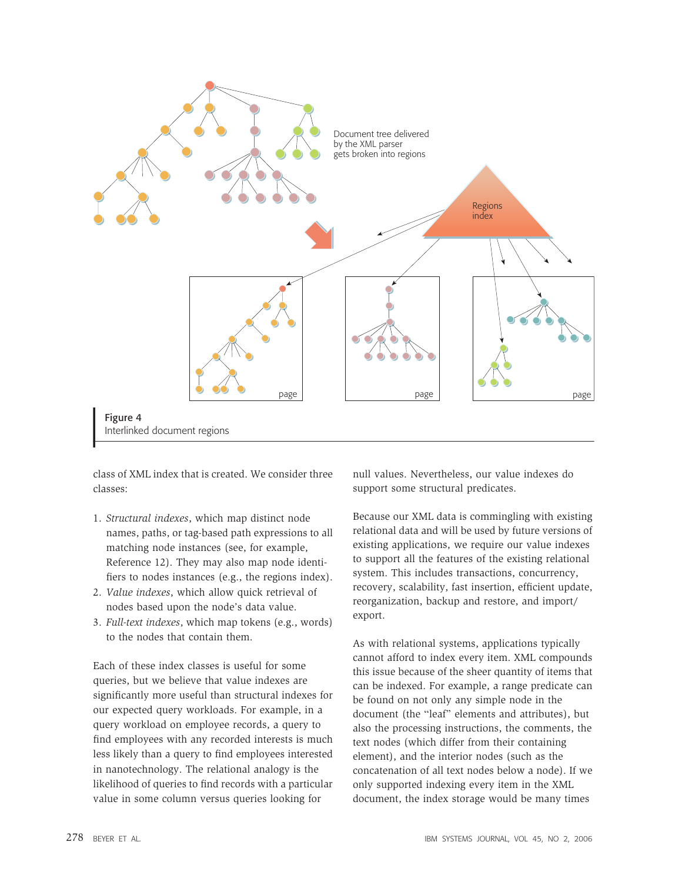![](_page_7_Figure_0.jpeg)

class of XML index that is created. We consider three classes:

- 1. Structural indexes, which map distinct node names, paths, or tag-based path expressions to all matching node instances (see, for example, Reference 12). They may also map node identifiers to nodes instances (e.g., the regions index).
- 2. Value indexes, which allow quick retrieval of nodes based upon the node's data value.
- 3. Full-text indexes, which map tokens (e.g., words) to the nodes that contain them.

Each of these index classes is useful for some queries, but we believe that value indexes are significantly more useful than structural indexes for our expected query workloads. For example, in a query workload on employee records, a query to find employees with any recorded interests is much less likely than a query to find employees interested in nanotechnology. The relational analogy is the likelihood of queries to find records with a particular value in some column versus queries looking for

null values. Nevertheless, our value indexes do support some structural predicates.

Because our XML data is commingling with existing relational data and will be used by future versions of existing applications, we require our value indexes to support all the features of the existing relational system. This includes transactions, concurrency, recovery, scalability, fast insertion, efficient update, reorganization, backup and restore, and import/ export.

As with relational systems, applications typically cannot afford to index every item. XML compounds this issue because of the sheer quantity of items that can be indexed. For example, a range predicate can be found on not only any simple node in the document (the ''leaf'' elements and attributes), but also the processing instructions, the comments, the text nodes (which differ from their containing element), and the interior nodes (such as the concatenation of all text nodes below a node). If we only supported indexing every item in the XML document, the index storage would be many times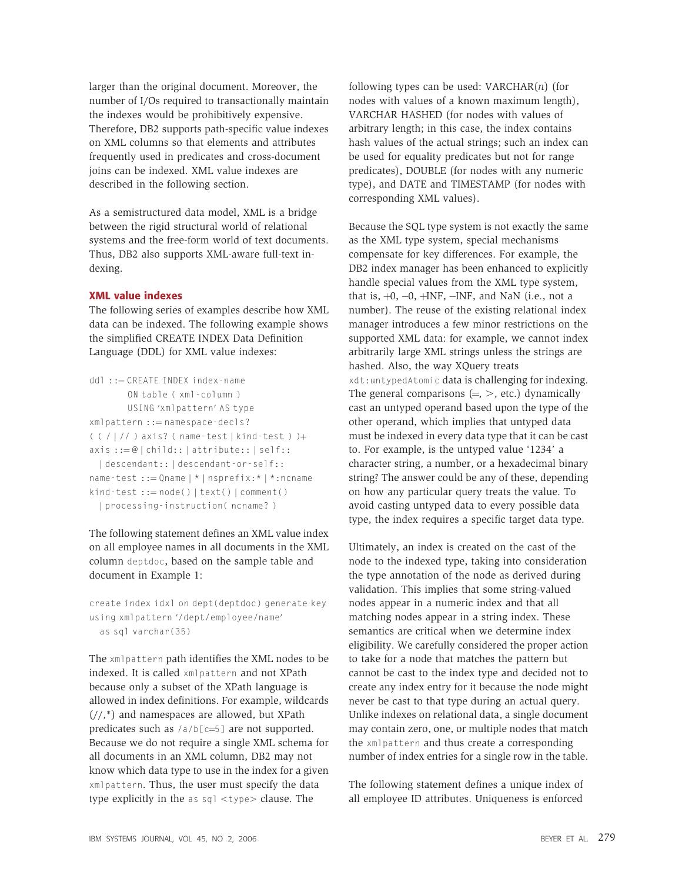larger than the original document. Moreover, the number of I/Os required to transactionally maintain the indexes would be prohibitively expensive. Therefore, DB2 supports path-specific value indexes on XML columns so that elements and attributes frequently used in predicates and cross-document joins can be indexed. XML value indexes are described in the following section.

As a semistructured data model, XML is a bridge between the rigid structural world of relational systems and the free-form world of text documents. Thus, DB2 also supports XML-aware full-text indexing.

## XML value indexes

The following series of examples describe how XML data can be indexed. The following example shows the simplified CREATE INDEX Data Definition Language (DDL) for XML value indexes:

```
ddl ::= CREATE INDEX index-name
       ON table ( xml-column )
       USING 'xmlpattern' AS type
xmlpattern := namespace-decls?((/)//) axis? ( name-test | kind-test ) )+
axis ::=@| child::| attribute::| self::j descendant:: j descendant-or-self::
name-test ::= Qname | * | nsprefix:* | *:ncname
kind-test ::= node() | text() | comment()j processing-instruction( ncname? )
```
The following statement defines an XML value index on all employee names in all documents in the XML column deptdoc, based on the sample table and document in Example 1:

create index idxl on dept(deptdoc) generate key using xmlpattern '/dept/employee/name' as sql varchar(35)

The xmlpattern path identifies the XML nodes to be indexed. It is called xmlpattern and not XPath because only a subset of the XPath language is allowed in index definitions. For example, wildcards  $\left(\frac{1}{2}, *\right)$  and namespaces are allowed, but XPath predicates such as  $/a/b[$ c=5] are not supported. Because we do not require a single XML schema for all documents in an XML column, DB2 may not know which data type to use in the index for a given xmlpattern. Thus, the user must specify the data type explicitly in the as  $\text{sgl} < \text{type} > \text{clause}$ . The

following types can be used:  $VARCHAR(n)$  (for nodes with values of a known maximum length), VARCHAR HASHED (for nodes with values of arbitrary length; in this case, the index contains hash values of the actual strings; such an index can be used for equality predicates but not for range predicates), DOUBLE (for nodes with any numeric type), and DATE and TIMESTAMP (for nodes with corresponding XML values).

Because the SQL type system is not exactly the same as the XML type system, special mechanisms compensate for key differences. For example, the DB2 index manager has been enhanced to explicitly handle special values from the XML type system, that is,  $+0$ ,  $-0$ ,  $+$ INF,  $-$ INF, and NaN (i.e., not a number). The reuse of the existing relational index manager introduces a few minor restrictions on the supported XML data: for example, we cannot index arbitrarily large XML strings unless the strings are hashed. Also, the way XQuery treats xdt:untypedAtomic data is challenging for indexing. The general comparisons  $(=, >, etc.)$  dynamically cast an untyped operand based upon the type of the other operand, which implies that untyped data must be indexed in every data type that it can be cast to. For example, is the untyped value '1234' a character string, a number, or a hexadecimal binary string? The answer could be any of these, depending on how any particular query treats the value. To avoid casting untyped data to every possible data type, the index requires a specific target data type.

Ultimately, an index is created on the cast of the node to the indexed type, taking into consideration the type annotation of the node as derived during validation. This implies that some string-valued nodes appear in a numeric index and that all matching nodes appear in a string index. These semantics are critical when we determine index eligibility. We carefully considered the proper action to take for a node that matches the pattern but cannot be cast to the index type and decided not to create any index entry for it because the node might never be cast to that type during an actual query. Unlike indexes on relational data, a single document may contain zero, one, or multiple nodes that match the xmlpattern and thus create a corresponding number of index entries for a single row in the table.

The following statement defines a unique index of all employee ID attributes. Uniqueness is enforced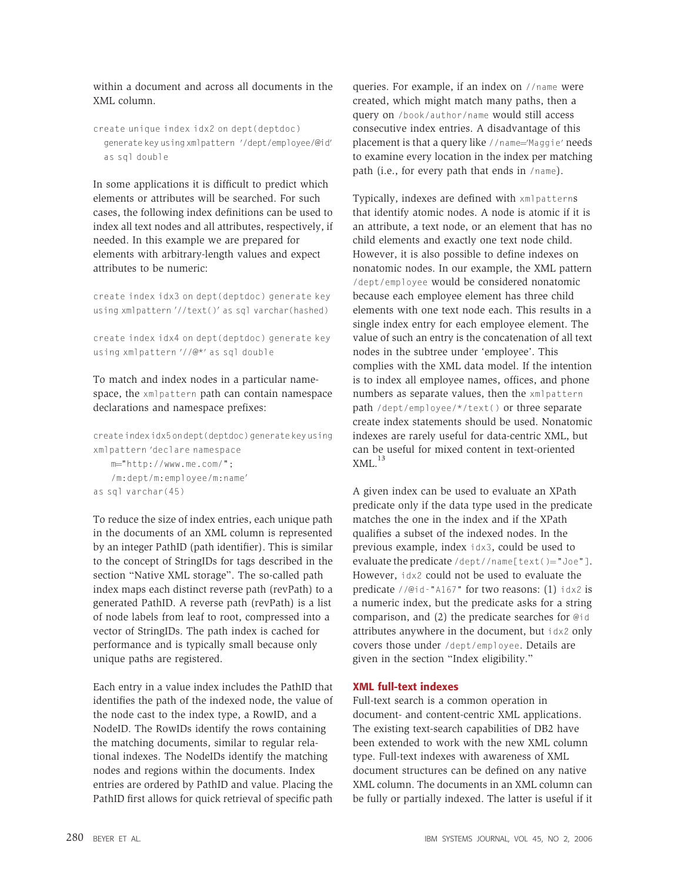within a document and across all documents in the XML column.

create unique index idx2 on dept(deptdoc) generate key using xmlpattern '/dept/employee/@id' as sql double

In some applications it is difficult to predict which elements or attributes will be searched. For such cases, the following index definitions can be used to index all text nodes and all attributes, respectively, if needed. In this example we are prepared for elements with arbitrary-length values and expect attributes to be numeric:

create index idx3 on dept(deptdoc) generate key using xmlpattern '//text()' as sql varchar(hashed)

create index idx4 on dept(deptdoc) generate key using xmlpattern*'//@\*'* as sql double

## To match and index nodes in a particular namespace, the xmlpattern path can contain namespace declarations and namespace prefixes:

```
createindexidx5ondept(deptdoc)generatekeyusing
xmlpattern 'declare namespace
   m="http://www.me.com/";
   /m:dept/m:employee/m:name'
as sql varchar(45)
```
To reduce the size of index entries, each unique path in the documents of an XML column is represented by an integer PathID (path identifier). This is similar to the concept of StringIDs for tags described in the section ''Native XML storage''. The so-called path index maps each distinct reverse path (revPath) to a generated PathID. A reverse path (revPath) is a list of node labels from leaf to root, compressed into a vector of StringIDs. The path index is cached for performance and is typically small because only unique paths are registered.

Each entry in a value index includes the PathID that identifies the path of the indexed node, the value of the node cast to the index type, a RowID, and a NodeID. The RowIDs identify the rows containing the matching documents, similar to regular relational indexes. The NodeIDs identify the matching nodes and regions within the documents. Index entries are ordered by PathID and value. Placing the PathID first allows for quick retrieval of specific path

queries. For example, if an index on //name were created, which might match many paths, then a query on /book/author/name would still access consecutive index entries. A disadvantage of this placement is that a query like //name='Maggie' needs to examine every location in the index per matching path (i.e., for every path that ends in /name).

Typically, indexes are defined with xmlpatterns that identify atomic nodes. A node is atomic if it is an attribute, a text node, or an element that has no child elements and exactly one text node child. However, it is also possible to define indexes on nonatomic nodes. In our example, the XML pattern /dept/employee would be considered nonatomic because each employee element has three child elements with one text node each. This results in a single index entry for each employee element. The value of such an entry is the concatenation of all text nodes in the subtree under 'employee'. This complies with the XML data model. If the intention is to index all employee names, offices, and phone numbers as separate values, then the xmlpattern path /dept/employee/\*/text() or three separate create index statements should be used. Nonatomic indexes are rarely useful for data-centric XML, but can be useful for mixed content in text-oriented  $XMI$ <sup>13</sup>

A given index can be used to evaluate an XPath predicate only if the data type used in the predicate matches the one in the index and if the XPath qualifies a subset of the indexed nodes. In the previous example, index idx3, could be used to evaluate the predicate /dept//name [text()="Joe"]. However, idx2 could not be used to evaluate the predicate //@id-"A167" for two reasons: (1) idx2 is a numeric index, but the predicate asks for a string comparison, and (2) the predicate searches for @id attributes anywhere in the document, but idx2 only covers those under /dept/employee. Details are given in the section ''Index eligibility.''

## XML full-text indexes

Full-text search is a common operation in document- and content-centric XML applications. The existing text-search capabilities of DB2 have been extended to work with the new XML column type. Full-text indexes with awareness of XML document structures can be defined on any native XML column. The documents in an XML column can be fully or partially indexed. The latter is useful if it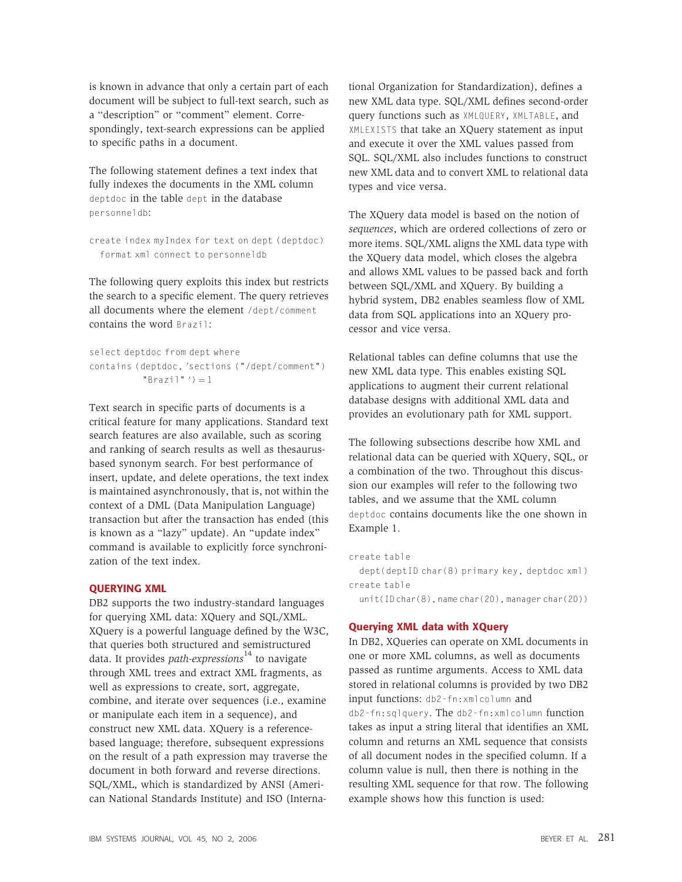is known in advance that only a certain part of each document will be subject to full-text search, such as a ''description'' or ''comment'' element. Correspondingly, text-search expressions can be applied to specific paths in a document.

The following statement defines a text index that fully indexes the documents in the XML column deptdoc in the table dept in the database personneldb:

create index myIndex for text on dept (deptdoc) format xml connect to personneldb

The following query exploits this index but restricts the search to a specific element. The query retrieves all documents where the element /dept/comment contains the word Brazil:

```
select deptdoc from dept where
contains (deptdoc, 'sections ("/dept/comment")
          "Brazil"') = 1
```
Text search in specific parts of documents is a critical feature for many applications. Standard text search features are also available, such as scoring and ranking of search results as well as thesaurusbased synonym search. For best performance of insert, update, and delete operations, the text index is maintained asynchronously, that is, not within the context of a DML (Data Manipulation Language) transaction but after the transaction has ended (this is known as a ''lazy'' update). An ''update index'' command is available to explicitly force synchronization of the text index.

## QUERYING XML

DB2 supports the two industry-standard languages for querying XML data: XQuery and SQL/XML. XQuery is a powerful language defined by the W3C, that queries both structured and semistructured data. It provides *path-expressions*<sup>14</sup> to navigate through XML trees and extract XML fragments, as well as expressions to create, sort, aggregate, combine, and iterate over sequences (i.e., examine or manipulate each item in a sequence), and construct new XML data. XQuery is a referencebased language; therefore, subsequent expressions on the result of a path expression may traverse the document in both forward and reverse directions. SQL/XML, which is standardized by ANSI (American National Standards Institute) and ISO (International Organization for Standardization), defines a new XML data type. SQL/XML defines second-order query functions such as XMLQUERY, XMLTABLE, and XMLEXISTS that take an XQuery statement as input and execute it over the XML values passed from SQL. SQL/XML also includes functions to construct new XML data and to convert XML to relational data types and vice versa.

The XQuery data model is based on the notion of sequences, which are ordered collections of zero or more items. SQL/XML aligns the XML data type with the XQuery data model, which closes the algebra and allows XML values to be passed back and forth between SQL/XML and XQuery. By building a hybrid system, DB2 enables seamless flow of XML data from SQL applications into an XQuery processor and vice versa.

Relational tables can define columns that use the new XML data type. This enables existing SQL applications to augment their current relational database designs with additional XML data and provides an evolutionary path for XML support.

The following subsections describe how XML and relational data can be queried with XQuery, SQL, or a combination of the two. Throughout this discussion our examples will refer to the following two tables, and we assume that the XML column deptdoc contains documents like the one shown in Example 1.

```
create table
  dept(deptID char(8) primary key, deptdoc xml)
create table
```
unit(ID char(8), name char(20), manager char(20))

### Querying XML data with XQuery

In DB2, XQueries can operate on XML documents in one or more XML columns, as well as documents passed as runtime arguments. Access to XML data stored in relational columns is provided by two DB2 input functions: db2-fn:xmlcolumn and db2-fn:sqlquery. The db2-fn:xmlcolumn function takes as input a string literal that identifies an XML column and returns an XML sequence that consists of all document nodes in the specified column. If a column value is null, then there is nothing in the resulting XML sequence for that row. The following example shows how this function is used: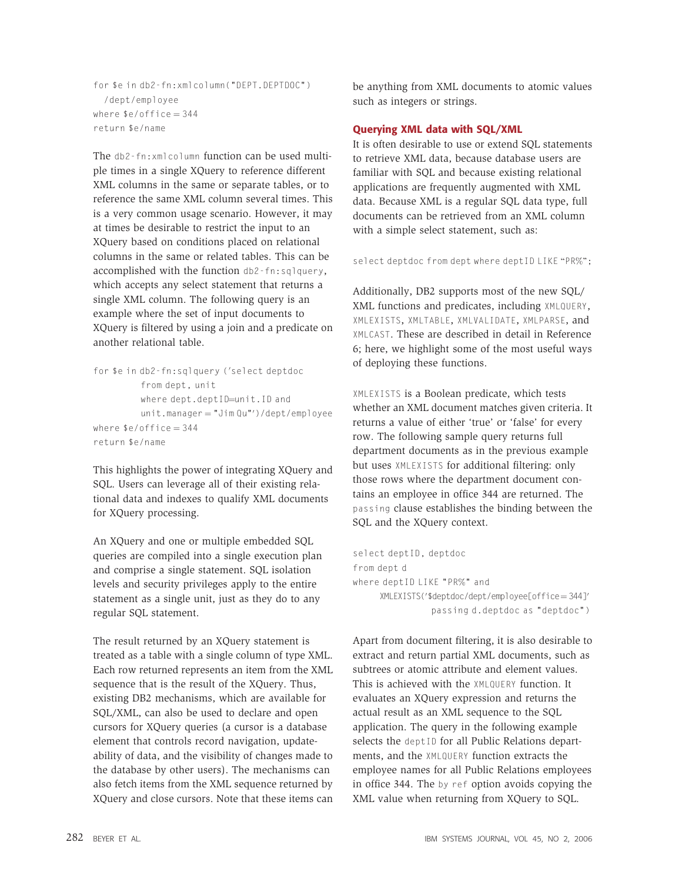```
for $e in db2-fn:xmlcolumn("DEPT.DEPTDOC")
  /dept/employee
where $e/office = 344return $e/name
```
The db2-fn:xmlcolumn function can be used multiple times in a single XQuery to reference different XML columns in the same or separate tables, or to reference the same XML column several times. This is a very common usage scenario. However, it may at times be desirable to restrict the input to an XQuery based on conditions placed on relational columns in the same or related tables. This can be accomplished with the function db2-fn:sqlquery, which accepts any select statement that returns a single XML column. The following query is an example where the set of input documents to XQuery is filtered by using a join and a predicate on another relational table.

```
for $e in db2-fn:sqlquery ('select deptdoc
         from dept, unit
         where dept.deptID=unit.ID and
         unit.manager ¼ "Jim Qu"0
)/dept/employee
where $e/office = 344return $e/name
```
This highlights the power of integrating XQuery and SQL. Users can leverage all of their existing relational data and indexes to qualify XML documents for XQuery processing.

An XQuery and one or multiple embedded SQL queries are compiled into a single execution plan and comprise a single statement. SQL isolation levels and security privileges apply to the entire statement as a single unit, just as they do to any regular SQL statement.

The result returned by an XQuery statement is treated as a table with a single column of type XML. Each row returned represents an item from the XML sequence that is the result of the XQuery. Thus, existing DB2 mechanisms, which are available for SQL/XML, can also be used to declare and open cursors for XQuery queries (a cursor is a database element that controls record navigation, updateability of data, and the visibility of changes made to the database by other users). The mechanisms can also fetch items from the XML sequence returned by XQuery and close cursors. Note that these items can

be anything from XML documents to atomic values such as integers or strings.

## Querying XML data with SQL/XML

It is often desirable to use or extend SQL statements to retrieve XML data, because database users are familiar with SQL and because existing relational applications are frequently augmented with XML data. Because XML is a regular SQL data type, full documents can be retrieved from an XML column with a simple select statement, such as:

select deptdoc from dept where deptID LIKE "PR%";

Additionally, DB2 supports most of the new SQL/ XML functions and predicates, including XMLQUERY, XMLEXISTS, XMLTABLE, XMLVALIDATE, XMLPARSE, and XMLCAST. These are described in detail in Reference 6; here, we highlight some of the most useful ways of deploying these functions.

XMLEXISTS is a Boolean predicate, which tests whether an XML document matches given criteria. It returns a value of either 'true' or 'false' for every row. The following sample query returns full department documents as in the previous example but uses XMLEXISTS for additional filtering: only those rows where the department document contains an employee in office 344 are returned. The passing clause establishes the binding between the SQL and the XQuery context.

```
select deptID, deptdoc
from dept d
where deptID LIKE "PR%" and
     XMLEXISTS('$deptdoc/dept/employee[office=344]'
                passing d.deptdoc as "deptdoc")
```
Apart from document filtering, it is also desirable to extract and return partial XML documents, such as subtrees or atomic attribute and element values. This is achieved with the XMLQUERY function. It evaluates an XQuery expression and returns the actual result as an XML sequence to the SQL application. The query in the following example selects the deptID for all Public Relations departments, and the XMLQUERY function extracts the employee names for all Public Relations employees in office 344. The by ref option avoids copying the XML value when returning from XQuery to SQL.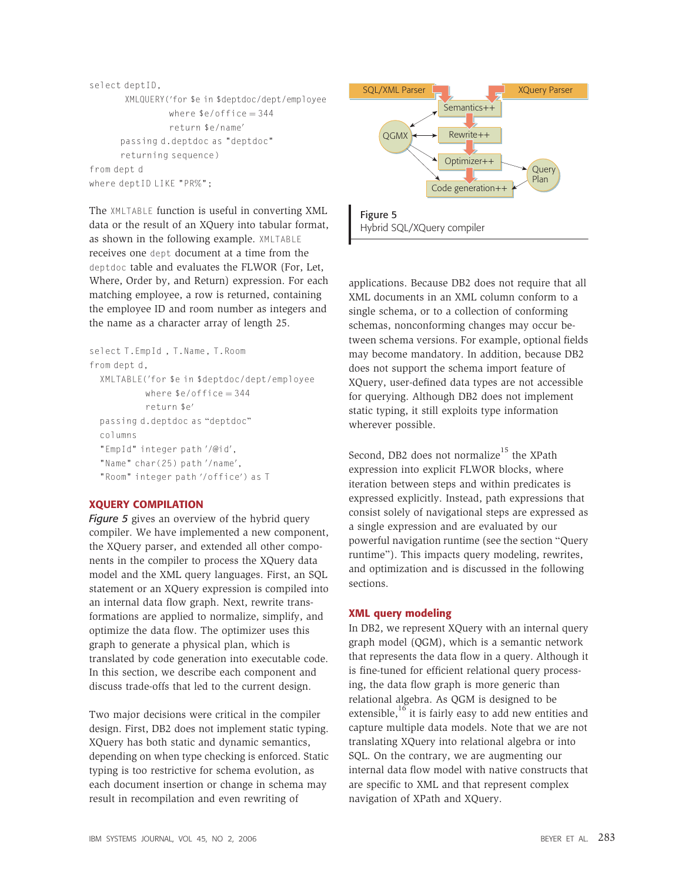```
select deptID,
       XMLQUERY(0
for $e in $deptdoc/dept/employee
                where $e/office = 344return $e/name'
      passing d.deptdoc as "deptdoc"
      returning sequence)
from dept d
where deptID LIKE "PR%";
```
The XMLTABLE function is useful in converting XML data or the result of an XQuery into tabular format, as shown in the following example. XMLTABLE receives one dept document at a time from the deptdoc table and evaluates the FLWOR (For, Let, Where, Order by, and Return) expression. For each matching employee, a row is returned, containing the employee ID and room number as integers and the name as a character array of length 25.

```
select T.EmpId , T.Name, T.Room
from dept d,
  XMLTABLE('for $e in $deptdoc/dept/employee
           where $e/office = 344return $e'
  passing d.deptdoc as ''deptdoc''
  columns
  "EmpId" integer path '/@id',
  "Name" char(25) path '/name',
  "Room" integer path '/office') as T
```
## XQUERY COMPILATION

Figure 5 gives an overview of the hybrid query compiler. We have implemented a new component, the XQuery parser, and extended all other components in the compiler to process the XQuery data model and the XML query languages. First, an SQL statement or an XQuery expression is compiled into an internal data flow graph. Next, rewrite transformations are applied to normalize, simplify, and optimize the data flow. The optimizer uses this graph to generate a physical plan, which is translated by code generation into executable code. In this section, we describe each component and discuss trade-offs that led to the current design.

Two major decisions were critical in the compiler design. First, DB2 does not implement static typing. XQuery has both static and dynamic semantics, depending on when type checking is enforced. Static typing is too restrictive for schema evolution, as each document insertion or change in schema may result in recompilation and even rewriting of

![](_page_12_Figure_6.jpeg)

applications. Because DB2 does not require that all XML documents in an XML column conform to a single schema, or to a collection of conforming schemas, nonconforming changes may occur between schema versions. For example, optional fields may become mandatory. In addition, because DB2 does not support the schema import feature of XQuery, user-defined data types are not accessible for querying. Although DB2 does not implement static typing, it still exploits type information wherever possible.

Second, DB2 does not normalize<sup>15</sup> the XPath expression into explicit FLWOR blocks, where iteration between steps and within predicates is expressed explicitly. Instead, path expressions that consist solely of navigational steps are expressed as a single expression and are evaluated by our powerful navigation runtime (see the section ''Query runtime''). This impacts query modeling, rewrites, and optimization and is discussed in the following sections.

## XML query modeling

In DB2, we represent XQuery with an internal query graph model (QGM), which is a semantic network that represents the data flow in a query. Although it is fine-tuned for efficient relational query processing, the data flow graph is more generic than relational algebra. As QGM is designed to be extensible, $16$  it is fairly easy to add new entities and capture multiple data models. Note that we are not translating XQuery into relational algebra or into SQL. On the contrary, we are augmenting our internal data flow model with native constructs that are specific to XML and that represent complex navigation of XPath and XQuery.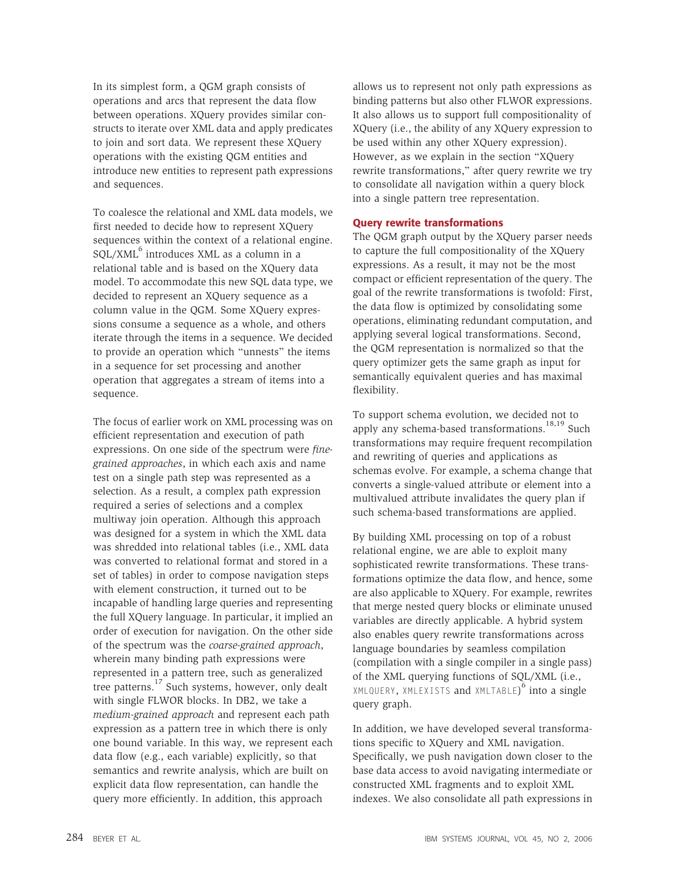In its simplest form, a QGM graph consists of operations and arcs that represent the data flow between operations. XQuery provides similar constructs to iterate over XML data and apply predicates to join and sort data. We represent these XQuery operations with the existing QGM entities and introduce new entities to represent path expressions and sequences.

To coalesce the relational and XML data models, we first needed to decide how to represent XQuery sequences within the context of a relational engine. SQL/XML<sup>6</sup> introduces XML as a column in a relational table and is based on the XQuery data model. To accommodate this new SQL data type, we decided to represent an XQuery sequence as a column value in the QGM. Some XQuery expressions consume a sequence as a whole, and others iterate through the items in a sequence. We decided to provide an operation which ''unnests'' the items in a sequence for set processing and another operation that aggregates a stream of items into a sequence.

The focus of earlier work on XML processing was on efficient representation and execution of path expressions. On one side of the spectrum were finegrained approaches, in which each axis and name test on a single path step was represented as a selection. As a result, a complex path expression required a series of selections and a complex multiway join operation. Although this approach was designed for a system in which the XML data was shredded into relational tables (i.e., XML data was converted to relational format and stored in a set of tables) in order to compose navigation steps with element construction, it turned out to be incapable of handling large queries and representing the full XQuery language. In particular, it implied an order of execution for navigation. On the other side of the spectrum was the coarse-grained approach, wherein many binding path expressions were represented in a pattern tree, such as generalized tree patterns.<sup>17</sup> Such systems, however, only dealt with single FLWOR blocks. In DB2, we take a medium-grained approach and represent each path expression as a pattern tree in which there is only one bound variable. In this way, we represent each data flow (e.g., each variable) explicitly, so that semantics and rewrite analysis, which are built on explicit data flow representation, can handle the query more efficiently. In addition, this approach

allows us to represent not only path expressions as binding patterns but also other FLWOR expressions. It also allows us to support full compositionality of XQuery (i.e., the ability of any XQuery expression to be used within any other XQuery expression). However, as we explain in the section ''XQuery rewrite transformations," after query rewrite we try to consolidate all navigation within a query block into a single pattern tree representation.

## Query rewrite transformations

The QGM graph output by the XQuery parser needs to capture the full compositionality of the XQuery expressions. As a result, it may not be the most compact or efficient representation of the query. The goal of the rewrite transformations is twofold: First, the data flow is optimized by consolidating some operations, eliminating redundant computation, and applying several logical transformations. Second, the QGM representation is normalized so that the query optimizer gets the same graph as input for semantically equivalent queries and has maximal flexibility.

To support schema evolution, we decided not to apply any schema-based transformations.<sup>18,19</sup> Such transformations may require frequent recompilation and rewriting of queries and applications as schemas evolve. For example, a schema change that converts a single-valued attribute or element into a multivalued attribute invalidates the query plan if such schema-based transformations are applied.

By building XML processing on top of a robust relational engine, we are able to exploit many sophisticated rewrite transformations. These transformations optimize the data flow, and hence, some are also applicable to XQuery. For example, rewrites that merge nested query blocks or eliminate unused variables are directly applicable. A hybrid system also enables query rewrite transformations across language boundaries by seamless compilation (compilation with a single compiler in a single pass) of the XML querying functions of SQL/XML (i.e., XMLQUERY, XMLEXISTS and XMLTABLE)<sup>6</sup> into a single query graph.

In addition, we have developed several transformations specific to XQuery and XML navigation. Specifically, we push navigation down closer to the base data access to avoid navigating intermediate or constructed XML fragments and to exploit XML indexes. We also consolidate all path expressions in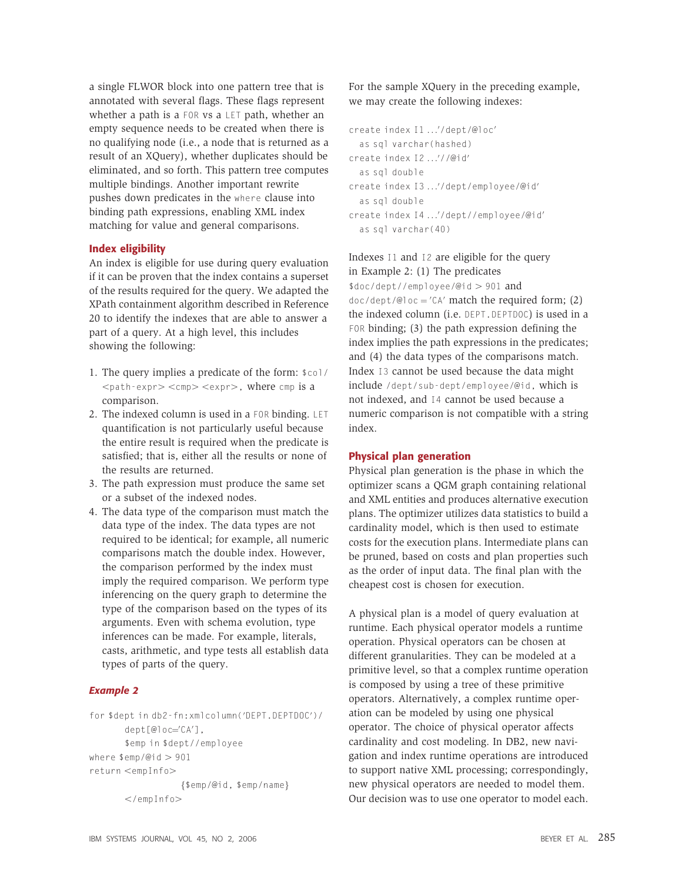a single FLWOR block into one pattern tree that is annotated with several flags. These flags represent whether a path is a FOR vs a LET path, whether an empty sequence needs to be created when there is no qualifying node (i.e., a node that is returned as a result of an XQuery), whether duplicates should be eliminated, and so forth. This pattern tree computes multiple bindings. Another important rewrite pushes down predicates in the where clause into binding path expressions, enabling XML index matching for value and general comparisons.

### Index eligibility

An index is eligible for use during query evaluation if it can be proven that the index contains a superset of the results required for the query. We adapted the XPath containment algorithm described in Reference 20 to identify the indexes that are able to answer a part of a query. At a high level, this includes showing the following:

- 1. The query implies a predicate of the form: \$col/  $\langle$ path-expr $>$  $\langle$ cmp $>$  $\langle$ expr $>$ , where cmp is a comparison.
- 2. The indexed column is used in a FOR binding. LET quantification is not particularly useful because the entire result is required when the predicate is satisfied; that is, either all the results or none of the results are returned.
- 3. The path expression must produce the same set or a subset of the indexed nodes.
- 4. The data type of the comparison must match the data type of the index. The data types are not required to be identical; for example, all numeric comparisons match the double index. However, the comparison performed by the index must imply the required comparison. We perform type inferencing on the query graph to determine the type of the comparison based on the types of its arguments. Even with schema evolution, type inferences can be made. For example, literals, casts, arithmetic, and type tests all establish data types of parts of the query.

### Example 2

for \$dept in db2-fn:xmlcolumn(0 DEPT.DEPTDOC0 )/ dept[@loc='CA'], \$emp in \$dept//employee where  $\frac{m}{2}$   $\frac{m}{2}$   $\frac{m}{2}$  $return <$ empInfo $>$ f\$emp/@id, \$emp/nameg  $<$ /empInfo $>$ 

For the sample XQuery in the preceding example, we may create the following indexes:

```
create index I1 ...'/dept/@loc'
  as sql varchar(hashed)
create index I2 ...'//@id'
  as sql double
create index I3...'/dept/employee/@id'
  as sql double
create index I4 ...'/dept//employee/@id'
  as sql varchar(40)
```
Indexes I1 and I2 are eligible for the query in Example 2: (1) The predicates

 $\frac{1}{2}$ doc/dept//employee/@id > 901 and  $doc/dept/@loc = 'CA' match the required form; (2)$ the indexed column (i.e. DEPT.DEPTDOC) is used in a FOR binding; (3) the path expression defining the index implies the path expressions in the predicates; and (4) the data types of the comparisons match. Index I3 cannot be used because the data might include /dept/sub-dept/employee/@id, which is not indexed, and I4 cannot be used because a numeric comparison is not compatible with a string index.

### Physical plan generation

Physical plan generation is the phase in which the optimizer scans a QGM graph containing relational and XML entities and produces alternative execution plans. The optimizer utilizes data statistics to build a cardinality model, which is then used to estimate costs for the execution plans. Intermediate plans can be pruned, based on costs and plan properties such as the order of input data. The final plan with the cheapest cost is chosen for execution.

A physical plan is a model of query evaluation at runtime. Each physical operator models a runtime operation. Physical operators can be chosen at different granularities. They can be modeled at a primitive level, so that a complex runtime operation is composed by using a tree of these primitive operators. Alternatively, a complex runtime operation can be modeled by using one physical operator. The choice of physical operator affects cardinality and cost modeling. In DB2, new navigation and index runtime operations are introduced to support native XML processing; correspondingly, new physical operators are needed to model them. Our decision was to use one operator to model each.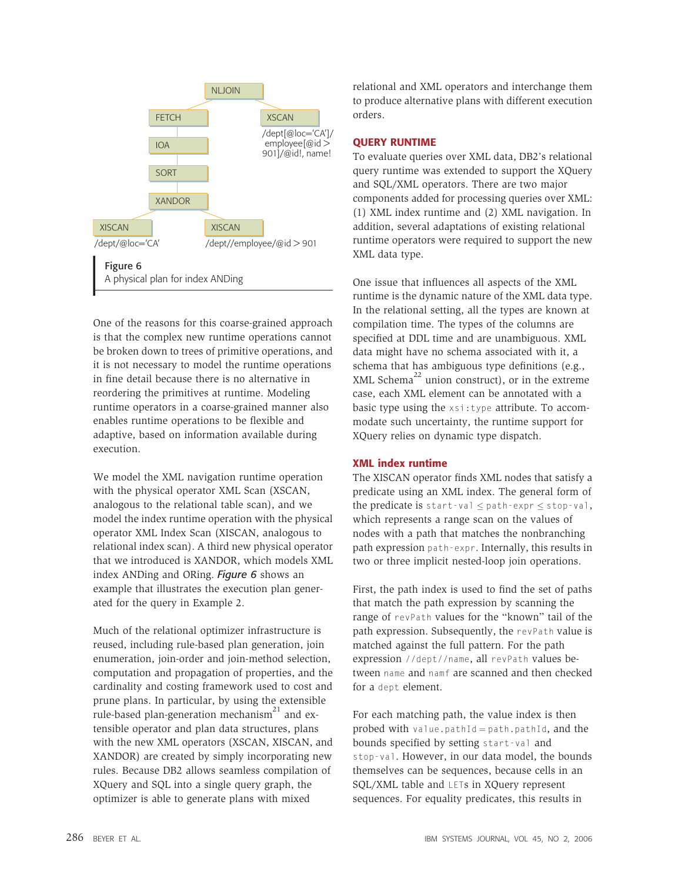![](_page_15_Figure_0.jpeg)

One of the reasons for this coarse-grained approach is that the complex new runtime operations cannot be broken down to trees of primitive operations, and it is not necessary to model the runtime operations in fine detail because there is no alternative in reordering the primitives at runtime. Modeling runtime operators in a coarse-grained manner also enables runtime operations to be flexible and adaptive, based on information available during execution.

We model the XML navigation runtime operation with the physical operator XML Scan (XSCAN, analogous to the relational table scan), and we model the index runtime operation with the physical operator XML Index Scan (XISCAN, analogous to relational index scan). A third new physical operator that we introduced is XANDOR, which models XML index ANDing and ORing. Figure 6 shows an example that illustrates the execution plan generated for the query in Example 2.

Much of the relational optimizer infrastructure is reused, including rule-based plan generation, join enumeration, join-order and join-method selection, computation and propagation of properties, and the cardinality and costing framework used to cost and prune plans. In particular, by using the extensible rule-based plan-generation mechanism $4$  and extensible operator and plan data structures, plans with the new XML operators (XSCAN, XISCAN, and XANDOR) are created by simply incorporating new rules. Because DB2 allows seamless compilation of XQuery and SQL into a single query graph, the optimizer is able to generate plans with mixed

relational and XML operators and interchange them to produce alternative plans with different execution orders.

## **OUERY RUNTIME**

To evaluate queries over XML data, DB2's relational query runtime was extended to support the XQuery and SQL/XML operators. There are two major components added for processing queries over XML: (1) XML index runtime and (2) XML navigation. In addition, several adaptations of existing relational runtime operators were required to support the new XML data type.

One issue that influences all aspects of the XML runtime is the dynamic nature of the XML data type. In the relational setting, all the types are known at compilation time. The types of the columns are specified at DDL time and are unambiguous. XML data might have no schema associated with it, a schema that has ambiguous type definitions (e.g., XML Schema<sup>22</sup> union construct), or in the extreme case, each XML element can be annotated with a basic type using the xsi:type attribute. To accommodate such uncertainty, the runtime support for XQuery relies on dynamic type dispatch.

## XML index runtime

The XISCAN operator finds XML nodes that satisfy a predicate using an XML index. The general form of the predicate is start-val  $\leq$  path-expr  $\leq$  stop-val, which represents a range scan on the values of nodes with a path that matches the nonbranching path expression path-expr. Internally, this results in two or three implicit nested-loop join operations.

First, the path index is used to find the set of paths that match the path expression by scanning the range of revPath values for the ''known'' tail of the path expression. Subsequently, the revPath value is matched against the full pattern. For the path expression //dept//name, all revPath values between name and namf are scanned and then checked for a dept element.

For each matching path, the value index is then probed with value.pathId =  $path.pathId$ , and the bounds specified by setting start-val and stop-val. However, in our data model, the bounds themselves can be sequences, because cells in an SQL/XML table and LETs in XQuery represent sequences. For equality predicates, this results in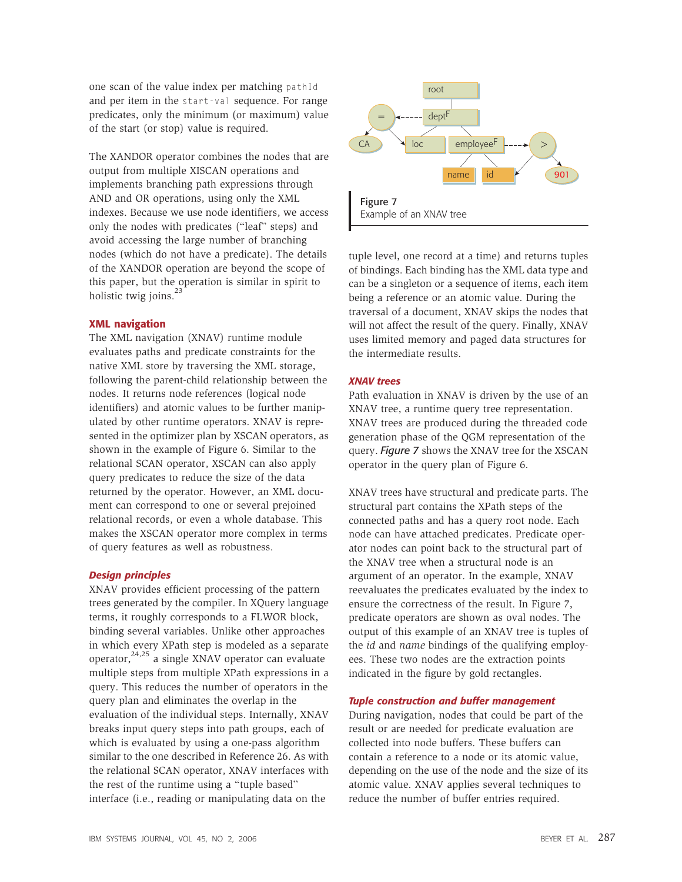one scan of the value index per matching pathId and per item in the start-val sequence. For range predicates, only the minimum (or maximum) value of the start (or stop) value is required.

The XANDOR operator combines the nodes that are output from multiple XISCAN operations and implements branching path expressions through AND and OR operations, using only the XML indexes. Because we use node identifiers, we access only the nodes with predicates (''leaf'' steps) and avoid accessing the large number of branching nodes (which do not have a predicate). The details of the XANDOR operation are beyond the scope of this paper, but the operation is similar in spirit to holistic twig joins.<sup>2</sup>

## XML navigation

The XML navigation (XNAV) runtime module evaluates paths and predicate constraints for the native XML store by traversing the XML storage, following the parent-child relationship between the nodes. It returns node references (logical node identifiers) and atomic values to be further manipulated by other runtime operators. XNAV is represented in the optimizer plan by XSCAN operators, as shown in the example of Figure 6. Similar to the relational SCAN operator, XSCAN can also apply query predicates to reduce the size of the data returned by the operator. However, an XML document can correspond to one or several prejoined relational records, or even a whole database. This makes the XSCAN operator more complex in terms of query features as well as robustness.

### Design principles

XNAV provides efficient processing of the pattern trees generated by the compiler. In XQuery language terms, it roughly corresponds to a FLWOR block, binding several variables. Unlike other approaches in which every XPath step is modeled as a separate operator,  $24,25$  a single XNAV operator can evaluate multiple steps from multiple XPath expressions in a query. This reduces the number of operators in the query plan and eliminates the overlap in the evaluation of the individual steps. Internally, XNAV breaks input query steps into path groups, each of which is evaluated by using a one-pass algorithm similar to the one described in Reference 26. As with the relational SCAN operator, XNAV interfaces with the rest of the runtime using a ''tuple based'' interface (i.e., reading or manipulating data on the

![](_page_16_Figure_6.jpeg)

tuple level, one record at a time) and returns tuples of bindings. Each binding has the XML data type and can be a singleton or a sequence of items, each item being a reference or an atomic value. During the traversal of a document, XNAV skips the nodes that will not affect the result of the query. Finally, XNAV uses limited memory and paged data structures for the intermediate results.

## XNAV trees

Path evaluation in XNAV is driven by the use of an XNAV tree, a runtime query tree representation. XNAV trees are produced during the threaded code generation phase of the QGM representation of the query. Figure 7 shows the XNAV tree for the XSCAN operator in the query plan of Figure 6.

XNAV trees have structural and predicate parts. The structural part contains the XPath steps of the connected paths and has a query root node. Each node can have attached predicates. Predicate operator nodes can point back to the structural part of the XNAV tree when a structural node is an argument of an operator. In the example, XNAV reevaluates the predicates evaluated by the index to ensure the correctness of the result. In Figure 7, predicate operators are shown as oval nodes. The output of this example of an XNAV tree is tuples of the id and name bindings of the qualifying employees. These two nodes are the extraction points indicated in the figure by gold rectangles.

### Tuple construction and buffer management

During navigation, nodes that could be part of the result or are needed for predicate evaluation are collected into node buffers. These buffers can contain a reference to a node or its atomic value, depending on the use of the node and the size of its atomic value. XNAV applies several techniques to reduce the number of buffer entries required.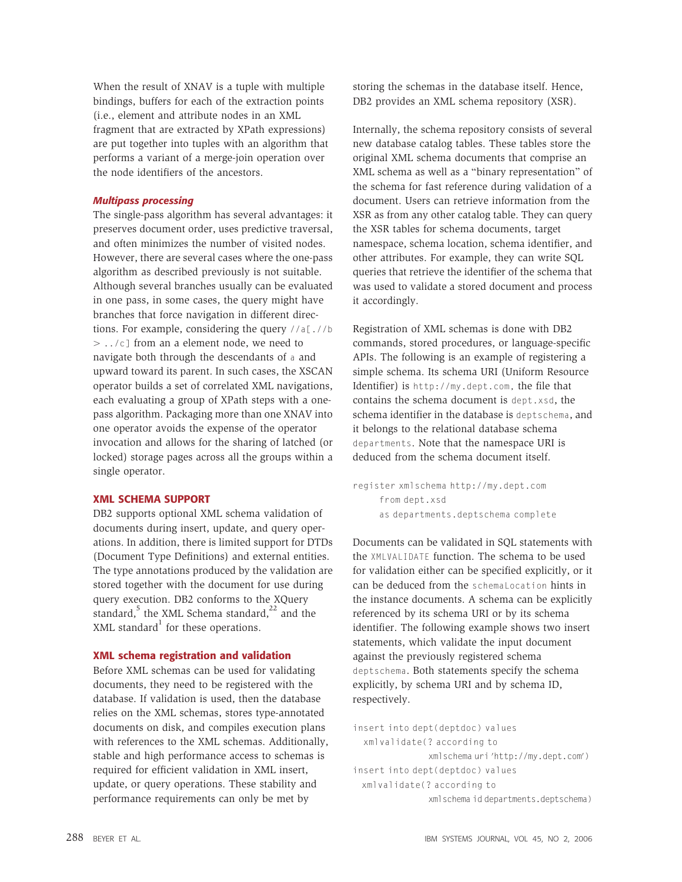When the result of XNAV is a tuple with multiple bindings, buffers for each of the extraction points (i.e., element and attribute nodes in an XML fragment that are extracted by XPath expressions) are put together into tuples with an algorithm that performs a variant of a merge-join operation over the node identifiers of the ancestors.

### Multipass processing

The single-pass algorithm has several advantages: it preserves document order, uses predictive traversal, and often minimizes the number of visited nodes. However, there are several cases where the one-pass algorithm as described previously is not suitable. Although several branches usually can be evaluated in one pass, in some cases, the query might have branches that force navigation in different directions. For example, considering the query //a[.//b . ../c] from an a element node, we need to navigate both through the descendants of a and upward toward its parent. In such cases, the XSCAN operator builds a set of correlated XML navigations, each evaluating a group of XPath steps with a onepass algorithm. Packaging more than one XNAV into one operator avoids the expense of the operator invocation and allows for the sharing of latched (or locked) storage pages across all the groups within a single operator.

### XML SCHEMA SUPPORT

DB2 supports optional XML schema validation of documents during insert, update, and query operations. In addition, there is limited support for DTDs (Document Type Definitions) and external entities. The type annotations produced by the validation are stored together with the document for use during query execution. DB2 conforms to the XQuery standard, $5$  the XML Schema standard, $2^2$  and the  $XML$  standard<sup>1</sup> for these operations.

## XML schema registration and validation

Before XML schemas can be used for validating documents, they need to be registered with the database. If validation is used, then the database relies on the XML schemas, stores type-annotated documents on disk, and compiles execution plans with references to the XML schemas. Additionally, stable and high performance access to schemas is required for efficient validation in XML insert, update, or query operations. These stability and performance requirements can only be met by

storing the schemas in the database itself. Hence, DB2 provides an XML schema repository (XSR).

Internally, the schema repository consists of several new database catalog tables. These tables store the original XML schema documents that comprise an XML schema as well as a ''binary representation'' of the schema for fast reference during validation of a document. Users can retrieve information from the XSR as from any other catalog table. They can query the XSR tables for schema documents, target namespace, schema location, schema identifier, and other attributes. For example, they can write SQL queries that retrieve the identifier of the schema that was used to validate a stored document and process it accordingly.

Registration of XML schemas is done with DB2 commands, stored procedures, or language-specific APIs. The following is an example of registering a simple schema. Its schema URI (Uniform Resource Identifier) is http://my.dept.com, the file that contains the schema document is dept.xsd, the schema identifier in the database is deptschema, and it belongs to the relational database schema departments. Note that the namespace URI is deduced from the schema document itself.

```
register xmlschema http://my.dept.com
     from dept.xsd
     as departments.deptschema complete
```
Documents can be validated in SQL statements with the XMLVALIDATE function. The schema to be used for validation either can be specified explicitly, or it can be deduced from the schemaLocation hints in the instance documents. A schema can be explicitly referenced by its schema URI or by its schema identifier. The following example shows two insert statements, which validate the input document against the previously registered schema deptschema. Both statements specify the schema explicitly, by schema URI and by schema ID, respectively.

```
insert into dept(deptdoc) values
  xmlvalidate(? according to
               xmlschema uri'http://my.dept.com')
insert into dept(deptdoc) values
 xmlvalidate(? according to
               xmlschema id departments.deptschema)
```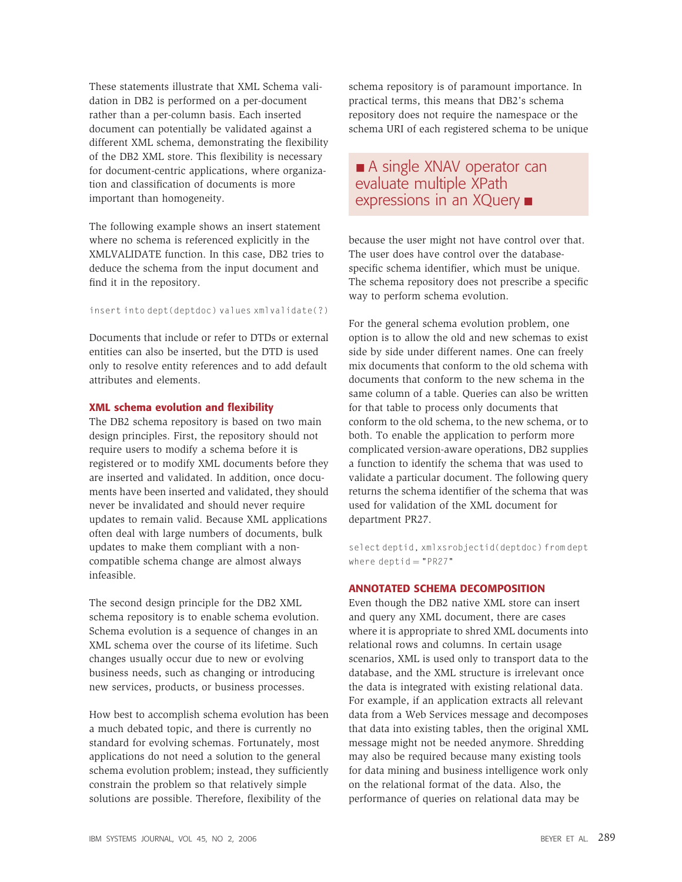These statements illustrate that XML Schema validation in DB2 is performed on a per-document rather than a per-column basis. Each inserted document can potentially be validated against a different XML schema, demonstrating the flexibility of the DB2 XML store. This flexibility is necessary for document-centric applications, where organization and classification of documents is more important than homogeneity.

The following example shows an insert statement where no schema is referenced explicitly in the XMLVALIDATE function. In this case, DB2 tries to deduce the schema from the input document and find it in the repository.

insert into dept(deptdoc) values xmlvalidate(?)

Documents that include or refer to DTDs or external entities can also be inserted, but the DTD is used only to resolve entity references and to add default attributes and elements.

## XML schema evolution and flexibility

The DB2 schema repository is based on two main design principles. First, the repository should not require users to modify a schema before it is registered or to modify XML documents before they are inserted and validated. In addition, once documents have been inserted and validated, they should never be invalidated and should never require updates to remain valid. Because XML applications often deal with large numbers of documents, bulk updates to make them compliant with a noncompatible schema change are almost always infeasible.

The second design principle for the DB2 XML schema repository is to enable schema evolution. Schema evolution is a sequence of changes in an XML schema over the course of its lifetime. Such changes usually occur due to new or evolving business needs, such as changing or introducing new services, products, or business processes.

How best to accomplish schema evolution has been a much debated topic, and there is currently no standard for evolving schemas. Fortunately, most applications do not need a solution to the general schema evolution problem; instead, they sufficiently constrain the problem so that relatively simple solutions are possible. Therefore, flexibility of the

schema repository is of paramount importance. In practical terms, this means that DB2's schema repository does not require the namespace or the schema URI of each registered schema to be unique

# A single XNAV operator can evaluate multiple XPath expressions in an  $XQuery \blacksquare$

because the user might not have control over that. The user does have control over the databasespecific schema identifier, which must be unique. The schema repository does not prescribe a specific way to perform schema evolution.

For the general schema evolution problem, one option is to allow the old and new schemas to exist side by side under different names. One can freely mix documents that conform to the old schema with documents that conform to the new schema in the same column of a table. Queries can also be written for that table to process only documents that conform to the old schema, to the new schema, or to both. To enable the application to perform more complicated version-aware operations, DB2 supplies a function to identify the schema that was used to validate a particular document. The following query returns the schema identifier of the schema that was used for validation of the XML document for department PR27.

select deptid, xmlxsrobjectid(deptdoc) from dept where deptid  $=$  "PR27"

## ANNOTATED SCHEMA DECOMPOSITION

Even though the DB2 native XML store can insert and query any XML document, there are cases where it is appropriate to shred XML documents into relational rows and columns. In certain usage scenarios, XML is used only to transport data to the database, and the XML structure is irrelevant once the data is integrated with existing relational data. For example, if an application extracts all relevant data from a Web Services message and decomposes that data into existing tables, then the original XML message might not be needed anymore. Shredding may also be required because many existing tools for data mining and business intelligence work only on the relational format of the data. Also, the performance of queries on relational data may be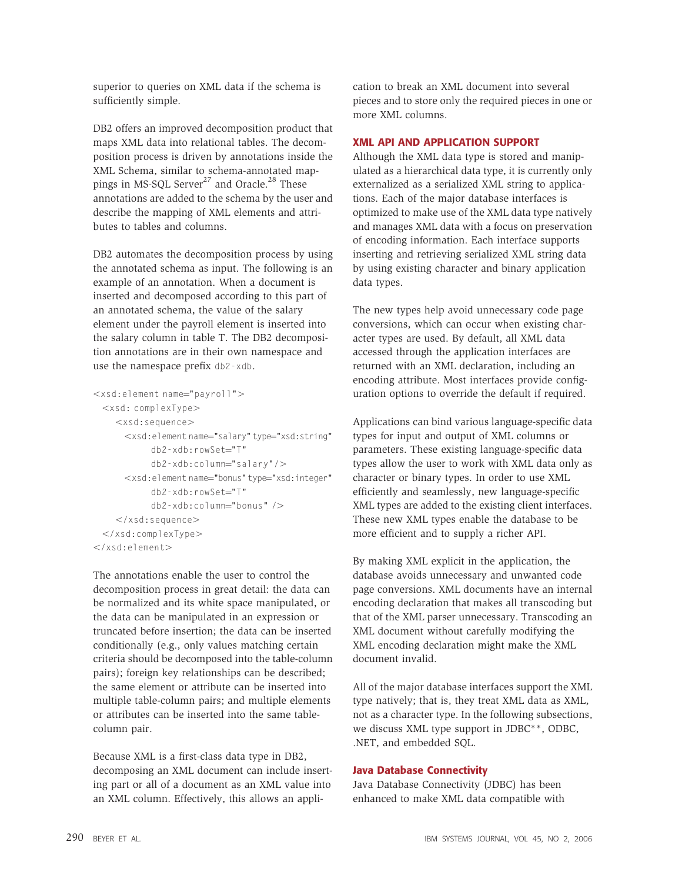superior to queries on XML data if the schema is sufficiently simple.

DB2 offers an improved decomposition product that maps XML data into relational tables. The decomposition process is driven by annotations inside the XML Schema, similar to schema-annotated mappings in MS-SQL Server<sup>27</sup> and Oracle.<sup>28</sup> These annotations are added to the schema by the user and describe the mapping of XML elements and attributes to tables and columns.

DB2 automates the decomposition process by using the annotated schema as input. The following is an example of an annotation. When a document is inserted and decomposed according to this part of an annotated schema, the value of the salary element under the payroll element is inserted into the salary column in table T. The DB2 decomposition annotations are in their own namespace and use the namespace prefix db2-xdb.

```
\leqxsd:element name="payroll">
 <xsd: complexType><xsd:sequence><xsd:element name="salary"type="xsd:string"
           db2-xdb:rowSet="T"
           db2-xdb:column="salary"<xsd:element name="bonus" type="xsd:integer"
           db2-xdb:rowSet="T"
           db2-xdb:colump="bonus" />
    \langle xsd:sequence \rangle,/xsd:complexType.
\lt/xsd:element>
```
The annotations enable the user to control the decomposition process in great detail: the data can be normalized and its white space manipulated, or the data can be manipulated in an expression or truncated before insertion; the data can be inserted conditionally (e.g., only values matching certain criteria should be decomposed into the table-column pairs); foreign key relationships can be described; the same element or attribute can be inserted into multiple table-column pairs; and multiple elements or attributes can be inserted into the same tablecolumn pair.

Because XML is a first-class data type in DB2, decomposing an XML document can include inserting part or all of a document as an XML value into an XML column. Effectively, this allows an application to break an XML document into several pieces and to store only the required pieces in one or more XML columns.

## XML API AND APPLICATION SUPPORT

Although the XML data type is stored and manipulated as a hierarchical data type, it is currently only externalized as a serialized XML string to applications. Each of the major database interfaces is optimized to make use of the XML data type natively and manages XML data with a focus on preservation of encoding information. Each interface supports inserting and retrieving serialized XML string data by using existing character and binary application data types.

The new types help avoid unnecessary code page conversions, which can occur when existing character types are used. By default, all XML data accessed through the application interfaces are returned with an XML declaration, including an encoding attribute. Most interfaces provide configuration options to override the default if required.

Applications can bind various language-specific data types for input and output of XML columns or parameters. These existing language-specific data types allow the user to work with XML data only as character or binary types. In order to use XML efficiently and seamlessly, new language-specific XML types are added to the existing client interfaces. These new XML types enable the database to be more efficient and to supply a richer API.

By making XML explicit in the application, the database avoids unnecessary and unwanted code page conversions. XML documents have an internal encoding declaration that makes all transcoding but that of the XML parser unnecessary. Transcoding an XML document without carefully modifying the XML encoding declaration might make the XML document invalid.

All of the major database interfaces support the XML type natively; that is, they treat XML data as XML, not as a character type. In the following subsections, we discuss XML type support in JDBC\*\*, ODBC, .NET, and embedded SQL.

## Java Database Connectivity

Java Database Connectivity (JDBC) has been enhanced to make XML data compatible with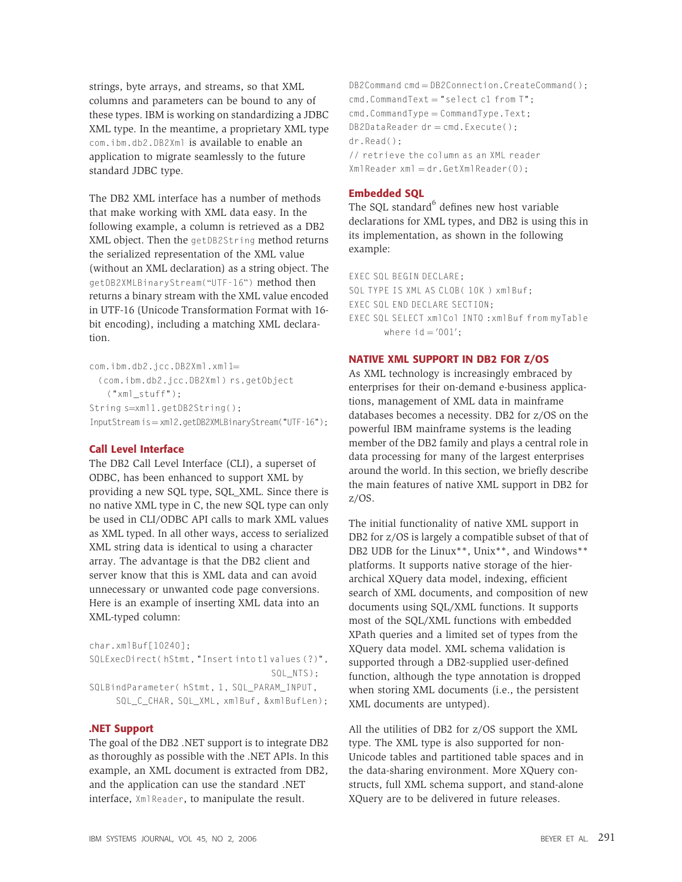strings, byte arrays, and streams, so that XML columns and parameters can be bound to any of these types. IBM is working on standardizing a JDBC XML type. In the meantime, a proprietary XML type com.ibm.db2.DB2Xml is available to enable an application to migrate seamlessly to the future standard JDBC type.

The DB2 XML interface has a number of methods that make working with XML data easy. In the following example, a column is retrieved as a DB2 XML object. Then the getDB2String method returns the serialized representation of the XML value (without an XML declaration) as a string object. The getDB2XMLBinaryStream(''UTF-16'') method then returns a binary stream with the XML value encoded in UTF-16 (Unicode Transformation Format with 16 bit encoding), including a matching XML declaration.

```
com.ibm.db2.jcc.DB2Xml.xml1=
 (com.ibm.db2.jcc.DB2Xml) rs.getObject
   ("xml_stuff");
String s=xml1.getDB2String();
InputStream is = xml2.getDB2XMLBinaryStream("UTF-16");
```
## Call Level Interface

The DB2 Call Level Interface (CLI), a superset of ODBC, has been enhanced to support XML by providing a new SQL type, SQL\_XML. Since there is no native XML type in C, the new SQL type can only be used in CLI/ODBC API calls to mark XML values as XML typed. In all other ways, access to serialized XML string data is identical to using a character array. The advantage is that the DB2 client and server know that this is XML data and can avoid unnecessary or unwanted code page conversions. Here is an example of inserting XML data into an XML-typed column:

```
char.xmlBuf[10240];
SQLExecDirect( hStmt, "Insert into t1 values (?)",
                                   SOLNTS;
SQLBindParameter( hStmt, 1, SQL_PARAM_INPUT,
     SQL_C_CHAR, SQL_XML, xmlBuf, &xmlBufLen);
```
## .NET Support

The goal of the DB2 .NET support is to integrate DB2 as thoroughly as possible with the .NET APIs. In this example, an XML document is extracted from DB2, and the application can use the standard .NET interface, XmlReader, to manipulate the result.

 $DB2$ Command cmd = DB2Connection.CreateCommand();  $cmd$ . CommandText = "select c1 from  $T$ ";  $cmd.CommandType = CommandType.Fext;$ DB2DataReader  $dr = cmd$ . Execute(); dr.Read(); // retrieve the column as an XML reader  $X$ mlReader xml = dr.GetXmlReader(0);

### Embedded SQL

The SQL standard<sup>6</sup> defines new host variable declarations for XML types, and DB2 is using this in its implementation, as shown in the following example:

```
EXEC SQL BEGIN DECLARE;
SQL TYPE IS XML AS CLOB( 10K ) xmlBuf;
EXEC SOL END DECLARE SECTION:
EXEC SQL SELECT xmlCol INTO :xmlBuf from myTable
```
where  $id = '001'$ ;

## NATIVE XML SUPPORT IN DB2 FOR Z/OS

As XML technology is increasingly embraced by enterprises for their on-demand e-business applications, management of XML data in mainframe databases becomes a necessity. DB2 for z/OS on the powerful IBM mainframe systems is the leading member of the DB2 family and plays a central role in data processing for many of the largest enterprises around the world. In this section, we briefly describe the main features of native XML support in DB2 for z/OS.

The initial functionality of native XML support in DB2 for z/OS is largely a compatible subset of that of DB2 UDB for the Linux\*\*, Unix\*\*, and Windows\*\* platforms. It supports native storage of the hierarchical XQuery data model, indexing, efficient search of XML documents, and composition of new documents using SQL/XML functions. It supports most of the SQL/XML functions with embedded XPath queries and a limited set of types from the XQuery data model. XML schema validation is supported through a DB2-supplied user-defined function, although the type annotation is dropped when storing XML documents (i.e., the persistent XML documents are untyped).

All the utilities of DB2 for z/OS support the XML type. The XML type is also supported for non-Unicode tables and partitioned table spaces and in the data-sharing environment. More XQuery constructs, full XML schema support, and stand-alone XQuery are to be delivered in future releases.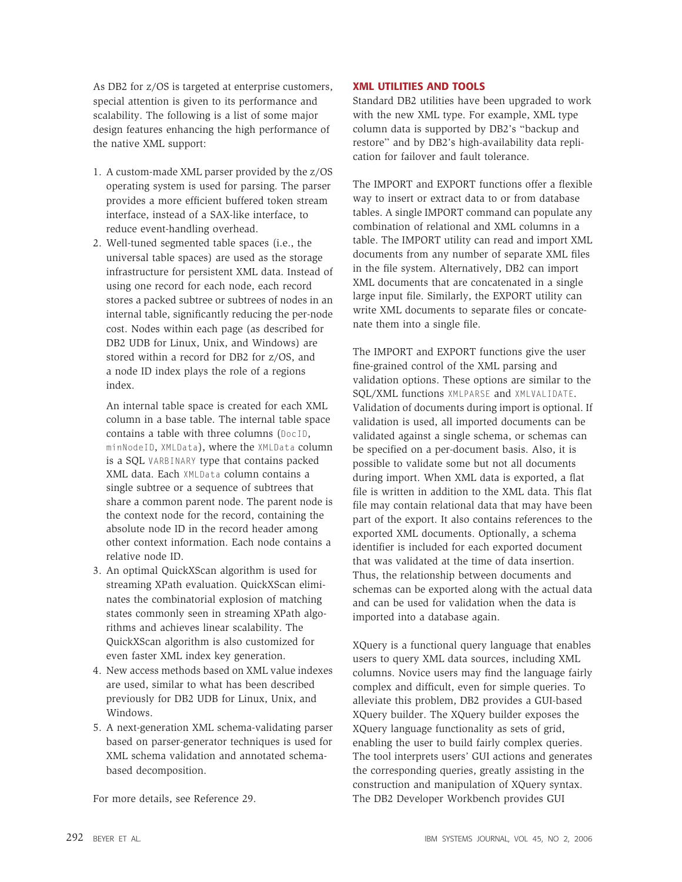As DB2 for z/OS is targeted at enterprise customers, special attention is given to its performance and scalability. The following is a list of some major design features enhancing the high performance of the native XML support:

- 1. A custom-made XML parser provided by the z/OS operating system is used for parsing. The parser provides a more efficient buffered token stream interface, instead of a SAX-like interface, to reduce event-handling overhead.
- 2. Well-tuned segmented table spaces (i.e., the universal table spaces) are used as the storage infrastructure for persistent XML data. Instead of using one record for each node, each record stores a packed subtree or subtrees of nodes in an internal table, significantly reducing the per-node cost. Nodes within each page (as described for DB2 UDB for Linux, Unix, and Windows) are stored within a record for DB2 for z/OS, and a node ID index plays the role of a regions index.

An internal table space is created for each XML column in a base table. The internal table space contains a table with three columns (DocID, minNodeID, XMLData), where the XMLData column is a SQL VARBINARY type that contains packed XML data. Each XMLData column contains a single subtree or a sequence of subtrees that share a common parent node. The parent node is the context node for the record, containing the absolute node ID in the record header among other context information. Each node contains a relative node ID.

- 3. An optimal QuickXScan algorithm is used for streaming XPath evaluation. QuickXScan eliminates the combinatorial explosion of matching states commonly seen in streaming XPath algorithms and achieves linear scalability. The QuickXScan algorithm is also customized for even faster XML index key generation.
- 4. New access methods based on XML value indexes are used, similar to what has been described previously for DB2 UDB for Linux, Unix, and Windows.
- 5. A next-generation XML schema-validating parser based on parser-generator techniques is used for XML schema validation and annotated schemabased decomposition.

For more details, see Reference 29.

## XML UTILITIES AND TOOLS

Standard DB2 utilities have been upgraded to work with the new XML type. For example, XML type column data is supported by DB2's ''backup and restore'' and by DB2's high-availability data replication for failover and fault tolerance.

The IMPORT and EXPORT functions offer a flexible way to insert or extract data to or from database tables. A single IMPORT command can populate any combination of relational and XML columns in a table. The IMPORT utility can read and import XML documents from any number of separate XML files in the file system. Alternatively, DB2 can import XML documents that are concatenated in a single large input file. Similarly, the EXPORT utility can write XML documents to separate files or concatenate them into a single file.

The IMPORT and EXPORT functions give the user fine-grained control of the XML parsing and validation options. These options are similar to the SQL/XML functions XMLPARSE and XMLVALIDATE. Validation of documents during import is optional. If validation is used, all imported documents can be validated against a single schema, or schemas can be specified on a per-document basis. Also, it is possible to validate some but not all documents during import. When XML data is exported, a flat file is written in addition to the XML data. This flat file may contain relational data that may have been part of the export. It also contains references to the exported XML documents. Optionally, a schema identifier is included for each exported document that was validated at the time of data insertion. Thus, the relationship between documents and schemas can be exported along with the actual data and can be used for validation when the data is imported into a database again.

XQuery is a functional query language that enables users to query XML data sources, including XML columns. Novice users may find the language fairly complex and difficult, even for simple queries. To alleviate this problem, DB2 provides a GUI-based XQuery builder. The XQuery builder exposes the XQuery language functionality as sets of grid, enabling the user to build fairly complex queries. The tool interprets users' GUI actions and generates the corresponding queries, greatly assisting in the construction and manipulation of XQuery syntax. The DB2 Developer Workbench provides GUI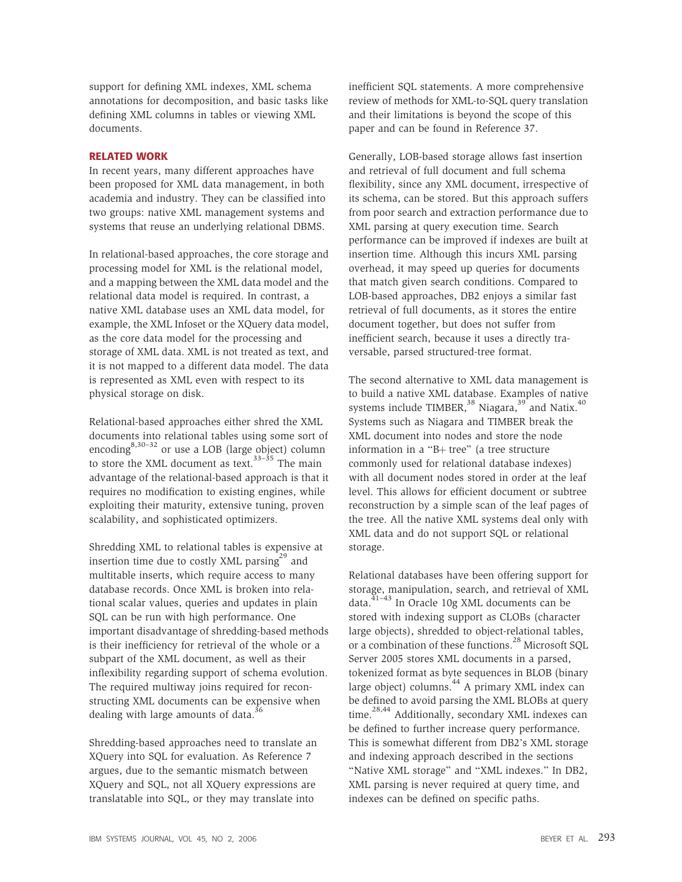support for defining XML indexes, XML schema annotations for decomposition, and basic tasks like defining XML columns in tables or viewing XML documents.

## RELATED WORK

In recent years, many different approaches have been proposed for XML data management, in both academia and industry. They can be classified into two groups: native XML management systems and systems that reuse an underlying relational DBMS.

In relational-based approaches, the core storage and processing model for XML is the relational model, and a mapping between the XML data model and the relational data model is required. In contrast, a native XML database uses an XML data model, for example, the XML Infoset or the XQuery data model, as the core data model for the processing and storage of XML data. XML is not treated as text, and it is not mapped to a different data model. The data is represented as XML even with respect to its physical storage on disk.

Relational-based approaches either shred the XML documents into relational tables using some sort of encoding $8,30-32$  or use a LOB (large object) column to store the XML document as text.<sup>33–35</sup> The main advantage of the relational-based approach is that it requires no modification to existing engines, while exploiting their maturity, extensive tuning, proven scalability, and sophisticated optimizers.

Shredding XML to relational tables is expensive at insertion time due to costly XML parsing $^{29}$  and multitable inserts, which require access to many database records. Once XML is broken into relational scalar values, queries and updates in plain SQL can be run with high performance. One important disadvantage of shredding-based methods is their inefficiency for retrieval of the whole or a subpart of the XML document, as well as their inflexibility regarding support of schema evolution. The required multiway joins required for reconstructing XML documents can be expensive when dealing with large amounts of data.<sup>36</sup>

Shredding-based approaches need to translate an XQuery into SQL for evaluation. As Reference 7 argues, due to the semantic mismatch between XQuery and SQL, not all XQuery expressions are translatable into SQL, or they may translate into

inefficient SQL statements. A more comprehensive review of methods for XML-to-SQL query translation and their limitations is beyond the scope of this paper and can be found in Reference 37.

Generally, LOB-based storage allows fast insertion and retrieval of full document and full schema flexibility, since any XML document, irrespective of its schema, can be stored. But this approach suffers from poor search and extraction performance due to XML parsing at query execution time. Search performance can be improved if indexes are built at insertion time. Although this incurs XML parsing overhead, it may speed up queries for documents that match given search conditions. Compared to LOB-based approaches, DB2 enjoys a similar fast retrieval of full documents, as it stores the entire document together, but does not suffer from inefficient search, because it uses a directly traversable, parsed structured-tree format.

The second alternative to XML data management is to build a native XML database. Examples of native systems include TIMBER, $^{38}$  Niagara, $^{39}$  and Natix. $^{40}$ Systems such as Niagara and TIMBER break the XML document into nodes and store the node information in a "B+ tree" (a tree structure commonly used for relational database indexes) with all document nodes stored in order at the leaf level. This allows for efficient document or subtree reconstruction by a simple scan of the leaf pages of the tree. All the native XML systems deal only with XML data and do not support SQL or relational storage.

Relational databases have been offering support for storage, manipulation, search, and retrieval of XML data.<sup>41–43</sup> In Oracle 10g XML documents can be stored with indexing support as CLOBs (character large objects), shredded to object-relational tables, or a combination of these functions.<sup>28</sup> Microsoft SQL Server 2005 stores XML documents in a parsed, tokenized format as byte sequences in BLOB (binary large object) columns.<sup>44</sup> A primary XML index can be defined to avoid parsing the XML BLOBs at query time.<sup>28,44</sup> Additionally, secondary XML indexes can be defined to further increase query performance. This is somewhat different from DB2's XML storage and indexing approach described in the sections ''Native XML storage'' and ''XML indexes.'' In DB2, XML parsing is never required at query time, and indexes can be defined on specific paths.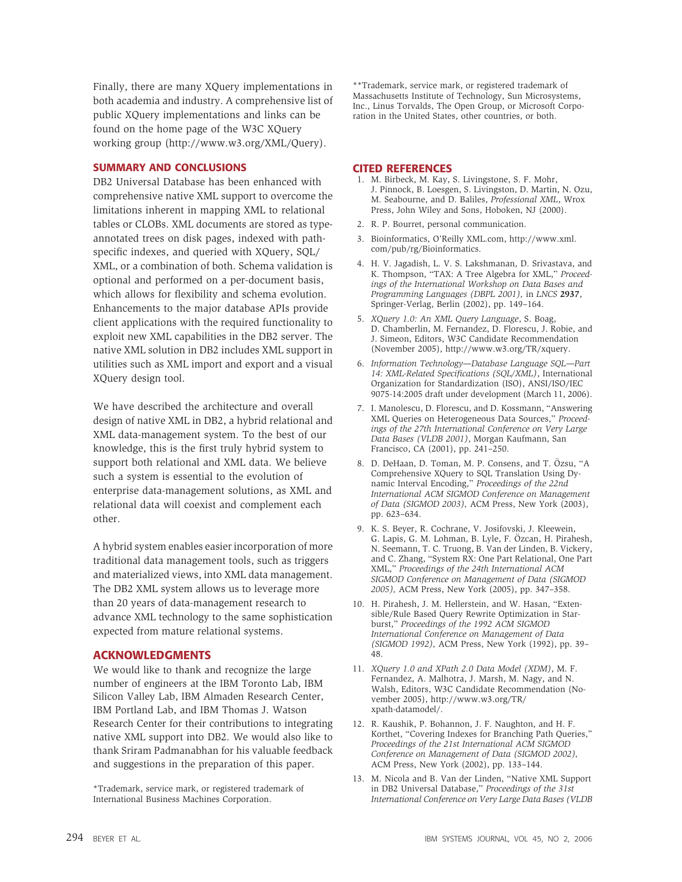Finally, there are many XQuery implementations in both academia and industry. A comprehensive list of public XQuery implementations and links can be found on the home page of the W3C XQuery working group (http://www.w3.org/XML/Query).

### SUMMARY AND CONCLUSIONS

DB2 Universal Database has been enhanced with comprehensive native XML support to overcome the limitations inherent in mapping XML to relational tables or CLOBs. XML documents are stored as typeannotated trees on disk pages, indexed with pathspecific indexes, and queried with XQuery, SQL/ XML, or a combination of both. Schema validation is optional and performed on a per-document basis, which allows for flexibility and schema evolution. Enhancements to the major database APIs provide client applications with the required functionality to exploit new XML capabilities in the DB2 server. The native XML solution in DB2 includes XML support in utilities such as XML import and export and a visual XQuery design tool.

We have described the architecture and overall design of native XML in DB2, a hybrid relational and XML data-management system. To the best of our knowledge, this is the first truly hybrid system to support both relational and XML data. We believe such a system is essential to the evolution of enterprise data-management solutions, as XML and relational data will coexist and complement each other.

A hybrid system enables easier incorporation of more traditional data management tools, such as triggers and materialized views, into XML data management. The DB2 XML system allows us to leverage more than 20 years of data-management research to advance XML technology to the same sophistication expected from mature relational systems.

## ACKNOWLEDGMENTS

We would like to thank and recognize the large number of engineers at the IBM Toronto Lab, IBM Silicon Valley Lab, IBM Almaden Research Center, IBM Portland Lab, and IBM Thomas J. Watson Research Center for their contributions to integrating native XML support into DB2. We would also like to thank Sriram Padmanabhan for his valuable feedback and suggestions in the preparation of this paper.

\*Trademark, service mark, or registered trademark of International Business Machines Corporation.

\*\*Trademark, service mark, or registered trademark of Massachusetts Institute of Technology, Sun Microsystems, Inc., Linus Torvalds, The Open Group, or Microsoft Corporation in the United States, other countries, or both.

### CITED REFERENCES

- 1. M. Birbeck, M. Kay, S. Livingstone, S. F. Mohr, J. Pinnock, B. Loesgen, S. Livingston, D. Martin, N. Ozu, M. Seabourne, and D. Baliles, Professional XML, Wrox Press, John Wiley and Sons, Hoboken, NJ (2000).
- 2. R. P. Bourret, personal communication.
- 3. Bioinformatics, O'Reilly XML.com, http://www.xml. com/pub/rg/Bioinformatics.
- 4. H. V. Jagadish, L. V. S. Lakshmanan, D. Srivastava, and K. Thompson, "TAX: A Tree Algebra for XML," Proceedings of the International Workshop on Data Bases and Programming Languages (DBPL 2001), in LNCS 2937, Springer-Verlag, Berlin (2002), pp. 149–164.
- 5. XQuery 1.0: An XML Query Language, S. Boag, D. Chamberlin, M. Fernandez, D. Florescu, J. Robie, and J. Simeon, Editors, W3C Candidate Recommendation (November 2005), http://www.w3.org/TR/xquery.
- 6. Information Technology—Database Language SQL—Part 14: XML-Related Specifications (SQL/XML), International Organization for Standardization (ISO), ANSI/ISO/IEC 9075-14:2005 draft under development (March 11, 2006).
- 7. I. Manolescu, D. Florescu, and D. Kossmann, ''Answering XML Queries on Heterogeneous Data Sources,'' Proceedings of the 27th International Conference on Very Large Data Bases (VLDB 2001), Morgan Kaufmann, San Francisco, CA (2001), pp. 241–250.
- 8. D. DeHaan, D. Toman, M. P. Consens, and T. Özsu, "A Comprehensive XQuery to SQL Translation Using Dynamic Interval Encoding,'' Proceedings of the 22nd International ACM SIGMOD Conference on Management of Data (SIGMOD 2003), ACM Press, New York (2003), pp. 623–634.
- 9. K. S. Beyer, R. Cochrane, V. Josifovski, J. Kleewein, G. Lapis, G. M. Lohman, B. Lyle, F. Özcan, H. Pirahesh, N. Seemann, T. C. Truong, B. Van der Linden, B. Vickery, and C. Zhang, ''System RX: One Part Relational, One Part XML,'' Proceedings of the 24th International ACM SIGMOD Conference on Management of Data (SIGMOD 2005), ACM Press, New York (2005), pp. 347–358.
- 10. H. Pirahesh, J. M. Hellerstein, and W. Hasan, ''Extensible/Rule Based Query Rewrite Optimization in Starburst,'' Proceedings of the 1992 ACM SIGMOD International Conference on Management of Data (SIGMOD 1992), ACM Press, New York (1992), pp. 39– 48.
- 11. XQuery 1.0 and XPath 2.0 Data Model (XDM), M. F. Fernandez, A. Malhotra, J. Marsh, M. Nagy, and N. Walsh, Editors, W3C Candidate Recommendation (November 2005), http://www.w3.org/TR/ xpath-datamodel/.
- 12. R. Kaushik, P. Bohannon, J. F. Naughton, and H. F. Korthet, "Covering Indexes for Branching Path Queries," Proceedings of the 21st International ACM SIGMOD Conference on Management of Data (SIGMOD 2002), ACM Press, New York (2002), pp. 133–144.
- 13. M. Nicola and B. Van der Linden, ''Native XML Support in DB2 Universal Database,'' Proceedings of the 31st International Conference on Very Large Data Bases (VLDB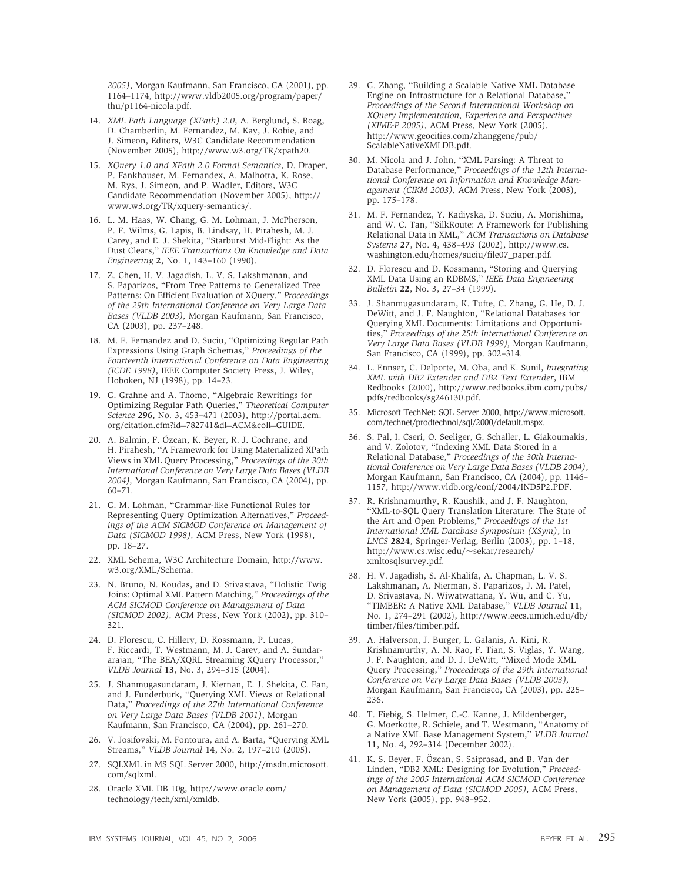2005), Morgan Kaufmann, San Francisco, CA (2001), pp. 1164–1174, http://www.vldb2005.org/program/paper/ thu/p1164-nicola.pdf.

- 14. XML Path Language (XPath) 2.0, A. Berglund, S. Boag, D. Chamberlin, M. Fernandez, M. Kay, J. Robie, and J. Simeon, Editors, W3C Candidate Recommendation (November 2005), http://www.w3.org/TR/xpath20.
- 15. XQuery 1.0 and XPath 2.0 Formal Semantics, D. Draper, P. Fankhauser, M. Fernandex, A. Malhotra, K. Rose, M. Rys, J. Simeon, and P. Wadler, Editors, W3C Candidate Recommendation (November 2005), http:// www.w3.org/TR/xquery-semantics/.
- 16. L. M. Haas, W. Chang, G. M. Lohman, J. McPherson, P. F. Wilms, G. Lapis, B. Lindsay, H. Pirahesh, M. J. Carey, and E. J. Shekita, ''Starburst Mid-Flight: As the Dust Clears,'' IEEE Transactions On Knowledge and Data Engineering 2, No. 1, 143–160 (1990).
- 17. Z. Chen, H. V. Jagadish, L. V. S. Lakshmanan, and S. Paparizos, ''From Tree Patterns to Generalized Tree Patterns: On Efficient Evaluation of XQuery,'' Proceedings of the 29th International Conference on Very Large Data Bases (VLDB 2003), Morgan Kaufmann, San Francisco, CA (2003), pp. 237–248.
- 18. M. F. Fernandez and D. Suciu, ''Optimizing Regular Path Expressions Using Graph Schemas,'' Proceedings of the Fourteenth International Conference on Data Engineering (ICDE 1998), IEEE Computer Society Press, J. Wiley, Hoboken, NJ (1998), pp. 14–23.
- 19. G. Grahne and A. Thomo, ''Algebraic Rewritings for Optimizing Regular Path Queries,'' Theoretical Computer Science 296, No. 3, 453–471 (2003), http://portal.acm. org/citation.cfm?id=782741&dl=ACM&coll=GUIDE.
- 20. A. Balmin, F. Özcan, K. Beyer, R. J. Cochrane, and H. Pirahesh, ''A Framework for Using Materialized XPath Views in XML Query Processing,'' Proceedings of the 30th International Conference on Very Large Data Bases (VLDB 2004), Morgan Kaufmann, San Francisco, CA (2004), pp. 60–71.
- 21. G. M. Lohman, ''Grammar-like Functional Rules for Representing Query Optimization Alternatives,'' Proceedings of the ACM SIGMOD Conference on Management of Data (SIGMOD 1998), ACM Press, New York (1998), pp. 18–27.
- 22. XML Schema, W3C Architecture Domain, http://www. w3.org/XML/Schema.
- 23. N. Bruno, N. Koudas, and D. Srivastava, ''Holistic Twig Joins: Optimal XML Pattern Matching,'' Proceedings of the ACM SIGMOD Conference on Management of Data (SIGMOD 2002), ACM Press, New York (2002), pp. 310– 321.
- 24. D. Florescu, C. Hillery, D. Kossmann, P. Lucas, F. Riccardi, T. Westmann, M. J. Carey, and A. Sundararajan, ''The BEA/XQRL Streaming XQuery Processor,'' VLDB Journal 13, No. 3, 294–315 (2004).
- 25. J. Shanmugasundaram, J. Kiernan, E. J. Shekita, C. Fan, and J. Funderburk, ''Querying XML Views of Relational Data,'' Proceedings of the 27th International Conference on Very Large Data Bases (VLDB 2001), Morgan Kaufmann, San Francisco, CA (2004), pp. 261–270.
- 26. V. Josifovski, M. Fontoura, and A. Barta, ''Querying XML Streams,'' VLDB Journal 14, No. 2, 197–210 (2005).
- 27. SQLXML in MS SQL Server 2000, http://msdn.microsoft. com/sqlxml.
- 28. Oracle XML DB 10g, http://www.oracle.com/ technology/tech/xml/xmldb.
- 29. G. Zhang, ''Building a Scalable Native XML Database Engine on Infrastructure for a Relational Database,'' Proceedings of the Second International Workshop on XQuery Implementation, Experience and Perspectives (XIME-P 2005), ACM Press, New York (2005), http://www.geocities.com/zhanggene/pub/ ScalableNativeXMLDB.pdf.
- 30. M. Nicola and J. John, ''XML Parsing: A Threat to Database Performance,'' Proceedings of the 12th International Conference on Information and Knowledge Management (CIKM 2003), ACM Press, New York (2003), pp. 175–178.
- 31. M. F. Fernandez, Y. Kadiyska, D. Suciu, A. Morishima, and W. C. Tan, ''SilkRoute: A Framework for Publishing Relational Data in XML," ACM Transactions on Database Systems 27, No. 4, 438–493 (2002), http://www.cs. washington.edu/homes/suciu/file07\_paper.pdf.
- 32. D. Florescu and D. Kossmann, ''Storing and Querying XML Data Using an RDBMS,'' IEEE Data Engineering Bulletin 22, No. 3, 27–34 (1999).
- 33. J. Shanmugasundaram, K. Tufte, C. Zhang, G. He, D. J. DeWitt, and J. F. Naughton, ''Relational Databases for Querying XML Documents: Limitations and Opportunities,'' Proceedings of the 25th International Conference on Very Large Data Bases (VLDB 1999), Morgan Kaufmann, San Francisco, CA (1999), pp. 302–314.
- 34. L. Ennser, C. Delporte, M. Oba, and K. Sunil, Integrating XML with DB2 Extender and DB2 Text Extender, IBM Redbooks (2000), http://www.redbooks.ibm.com/pubs/ pdfs/redbooks/sg246130.pdf.
- 35. Microsoft TechNet: SQL Server 2000, http://www.microsoft. com/technet/prodtechnol/sql/2000/default.mspx.
- 36. S. Pal, I. Cseri, O. Seeliger, G. Schaller, L. Giakoumakis, and V. Zolotov, ''Indexing XML Data Stored in a Relational Database,'' Proceedings of the 30th International Conference on Very Large Data Bases (VLDB 2004), Morgan Kaufmann, San Francisco, CA (2004), pp. 1146– 1157, http://www.vldb.org/conf/2004/IND5P2.PDF.
- 37. R. Krishnamurthy, R. Kaushik, and J. F. Naughton, ''XML-to-SQL Query Translation Literature: The State of the Art and Open Problems,'' Proceedings of the 1st International XML Database Symposium (XSym), in LNCS 2824, Springer-Verlag, Berlin (2003), pp. 1–18, http://www.cs.wisc.edu/~sekar/research/ xmltosqlsurvey.pdf.
- 38. H. V. Jagadish, S. Al-Khalifa, A. Chapman, L. V. S. Lakshmanan, A. Nierman, S. Paparizos, J. M. Patel, D. Srivastava, N. Wiwatwattana, Y. Wu, and C. Yu, ''TIMBER: A Native XML Database,'' VLDB Journal 11, No. 1, 274–291 (2002), http://www.eecs.umich.edu/db/ timber/files/timber.pdf.
- 39. A. Halverson, J. Burger, L. Galanis, A. Kini, R. Krishnamurthy, A. N. Rao, F. Tian, S. Viglas, Y. Wang, J. F. Naughton, and D. J. DeWitt, ''Mixed Mode XML Query Processing,'' Proceedings of the 29th International Conference on Very Large Data Bases (VLDB 2003), Morgan Kaufmann, San Francisco, CA (2003), pp. 225– 236.
- 40. T. Fiebig, S. Helmer, C.-C. Kanne, J. Mildenberger, G. Moerkotte, R. Schiele, and T. Westmann, ''Anatomy of a Native XML Base Management System,'' VLDB Journal 11, No. 4, 292–314 (December 2002).
- 41. K. S. Beyer, F. Özcan, S. Saiprasad, and B. Van der Linden, ''DB2 XML: Designing for Evolution,'' Proceedings of the 2005 International ACM SIGMOD Conference on Management of Data (SIGMOD 2005), ACM Press, New York (2005), pp. 948–952.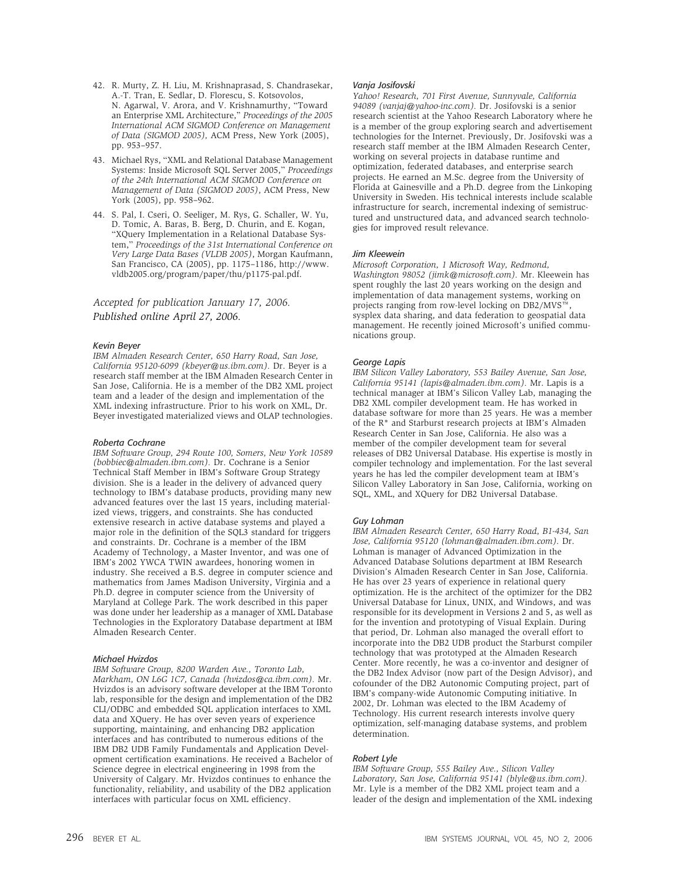- 42. R. Murty, Z. H. Liu, M. Krishnaprasad, S. Chandrasekar, A.-T. Tran, E. Sedlar, D. Florescu, S. Kotsovolos, N. Agarwal, V. Arora, and V. Krishnamurthy, ''Toward an Enterprise XML Architecture,'' Proceedings of the 2005 International ACM SIGMOD Conference on Management of Data (SIGMOD 2005), ACM Press, New York (2005), pp. 953–957.
- 43. Michael Rys, ''XML and Relational Database Management Systems: Inside Microsoft SQL Server 2005,'' Proceedings of the 24th International ACM SIGMOD Conference on Management of Data (SIGMOD 2005), ACM Press, New York (2005), pp. 958–962.
- 44. S. Pal, I. Cseri, O. Seeliger, M. Rys, G. Schaller, W. Yu, D. Tomic, A. Baras, B. Berg, D. Churin, and E. Kogan, ''XQuery Implementation in a Relational Database System,'' Proceedings of the 31st International Conference on Very Large Data Bases (VLDB 2005), Morgan Kaufmann, San Francisco, CA (2005), pp. 1175–1186, http://www. vldb2005.org/program/paper/thu/p1175-pal.pdf.

Accepted for publication January 17, 2006. Published online April 27, 2006.

#### Kevin Beyer

IBM Almaden Research Center, 650 Harry Road, San Jose, California 95120-6099 (kbeyer@us.ibm.com). Dr. Beyer is a research staff member at the IBM Almaden Research Center in San Jose, California. He is a member of the DB2 XML project team and a leader of the design and implementation of the XML indexing infrastructure. Prior to his work on XML, Dr. Beyer investigated materialized views and OLAP technologies.

#### Roberta Cochrane

IBM Software Group, 294 Route 100, Somers, New York 10589 (bobbiec@almaden.ibm.com). Dr. Cochrane is a Senior Technical Staff Member in IBM's Software Group Strategy division. She is a leader in the delivery of advanced query technology to IBM's database products, providing many new advanced features over the last 15 years, including materialized views, triggers, and constraints. She has conducted extensive research in active database systems and played a major role in the definition of the SQL3 standard for triggers and constraints. Dr. Cochrane is a member of the IBM Academy of Technology, a Master Inventor, and was one of IBM's 2002 YWCA TWIN awardees, honoring women in industry. She received a B.S. degree in computer science and mathematics from James Madison University, Virginia and a Ph.D. degree in computer science from the University of Maryland at College Park. The work described in this paper was done under her leadership as a manager of XML Database Technologies in the Exploratory Database department at IBM Almaden Research Center.

### Michael Hvizdos

IBM Software Group, 8200 Warden Ave., Toronto Lab, Markham, ON L6G 1C7, Canada (hvizdos@ca.ibm.com). Mr. Hvizdos is an advisory software developer at the IBM Toronto lab, responsible for the design and implementation of the DB2 CLI/ODBC and embedded SQL application interfaces to XML data and XQuery. He has over seven years of experience supporting, maintaining, and enhancing DB2 application interfaces and has contributed to numerous editions of the IBM DB2 UDB Family Fundamentals and Application Development certification examinations. He received a Bachelor of Science degree in electrical engineering in 1998 from the University of Calgary. Mr. Hvizdos continues to enhance the functionality, reliability, and usability of the DB2 application interfaces with particular focus on XML efficiency.

#### Vanja Josifovski

Yahoo! Research, 701 First Avenue, Sunnyvale, California 94089 (vanjaj@yahoo-inc.com). Dr. Josifovski is a senior research scientist at the Yahoo Research Laboratory where he is a member of the group exploring search and advertisement technologies for the Internet. Previously, Dr. Josifovski was a research staff member at the IBM Almaden Research Center, working on several projects in database runtime and optimization, federated databases, and enterprise search projects. He earned an M.Sc. degree from the University of Florida at Gainesville and a Ph.D. degree from the Linkoping University in Sweden. His technical interests include scalable infrastructure for search, incremental indexing of semistructured and unstructured data, and advanced search technologies for improved result relevance.

#### Jim Kleewein

Microsoft Corporation, 1 Microsoft Way, Redmond, Washington 98052 (jimk@microsoft.com). Mr. Kleewein has spent roughly the last 20 years working on the design and implementation of data management systems, working on projects ranging from row-level locking on DB2/MVS' sysplex data sharing, and data federation to geospatial data management. He recently joined Microsoft's unified communications group.

### George Lapis

IBM Silicon Valley Laboratory, 553 Bailey Avenue, San Jose, California 95141 (lapis@almaden.ibm.com). Mr. Lapis is a technical manager at IBM's Silicon Valley Lab, managing the DB2 XML compiler development team. He has worked in database software for more than 25 years. He was a member of the R\* and Starburst research projects at IBM's Almaden Research Center in San Jose, California. He also was a member of the compiler development team for several releases of DB2 Universal Database. His expertise is mostly in compiler technology and implementation. For the last several years he has led the compiler development team at IBM's Silicon Valley Laboratory in San Jose, California, working on SQL, XML, and XQuery for DB2 Universal Database.

#### Guy Lohman

IBM Almaden Research Center, 650 Harry Road, B1-434, San Jose, California 95120 (lohman@almaden.ibm.com). Dr. Lohman is manager of Advanced Optimization in the Advanced Database Solutions department at IBM Research Division's Almaden Research Center in San Jose, California. He has over 23 years of experience in relational query optimization. He is the architect of the optimizer for the DB2 Universal Database for Linux, UNIX, and Windows, and was responsible for its development in Versions 2 and 5, as well as for the invention and prototyping of Visual Explain. During that period, Dr. Lohman also managed the overall effort to incorporate into the DB2 UDB product the Starburst compiler technology that was prototyped at the Almaden Research Center. More recently, he was a co-inventor and designer of the DB2 Index Advisor (now part of the Design Advisor), and cofounder of the DB2 Autonomic Computing project, part of IBM's company-wide Autonomic Computing initiative. In 2002, Dr. Lohman was elected to the IBM Academy of Technology. His current research interests involve query optimization, self-managing database systems, and problem determination.

### Robert Lyle

IBM Software Group, 555 Bailey Ave., Silicon Valley Laboratory, San Jose, California 95141 (blyle@us.ibm.com). Mr. Lyle is a member of the DB2 XML project team and a leader of the design and implementation of the XML indexing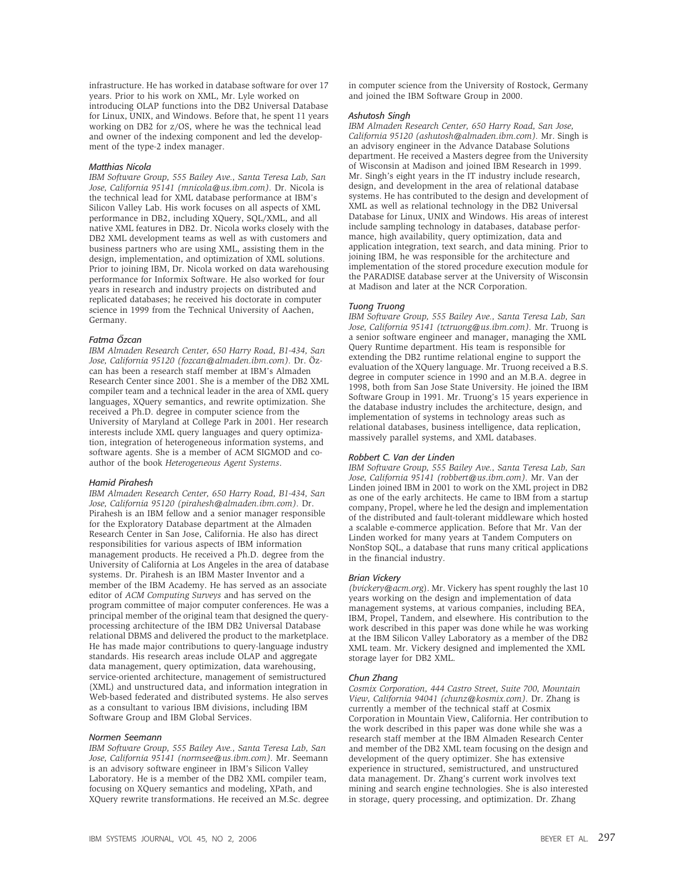infrastructure. He has worked in database software for over 17 years. Prior to his work on XML, Mr. Lyle worked on introducing OLAP functions into the DB2 Universal Database for Linux, UNIX, and Windows. Before that, he spent 11 years working on DB2 for z/OS, where he was the technical lead and owner of the indexing component and led the development of the type-2 index manager.

#### Matthias Nicola

IBM Software Group, 555 Bailey Ave., Santa Teresa Lab, San Jose, California 95141 (mnicola@us.ibm.com). Dr. Nicola is the technical lead for XML database performance at IBM's Silicon Valley Lab. His work focuses on all aspects of XML performance in DB2, including XQuery, SQL/XML, and all native XML features in DB2. Dr. Nicola works closely with the DB2 XML development teams as well as with customers and business partners who are using XML, assisting them in the design, implementation, and optimization of XML solutions. Prior to joining IBM, Dr. Nicola worked on data warehousing performance for Informix Software. He also worked for four years in research and industry projects on distributed and replicated databases; he received his doctorate in computer science in 1999 from the Technical University of Aachen, Germany.

#### Fatma Özcan

IBM Almaden Research Center, 650 Harry Road, B1-434, San Jose, California 95120 (fozcan@almaden.ibm.com). Dr. Özcan has been a research staff member at IBM's Almaden Research Center since 2001. She is a member of the DB2 XML compiler team and a technical leader in the area of XML query languages, XQuery semantics, and rewrite optimization. She received a Ph.D. degree in computer science from the University of Maryland at College Park in 2001. Her research interests include XML query languages and query optimization, integration of heterogeneous information systems, and software agents. She is a member of ACM SIGMOD and coauthor of the book Heterogeneous Agent Systems.

#### Hamid Pirahesh

IBM Almaden Research Center, 650 Harry Road, B1-434, San Jose, California 95120 (pirahesh@almaden.ibm.com). Dr. Pirahesh is an IBM fellow and a senior manager responsible for the Exploratory Database department at the Almaden Research Center in San Jose, California. He also has direct responsibilities for various aspects of IBM information management products. He received a Ph.D. degree from the University of California at Los Angeles in the area of database systems. Dr. Pirahesh is an IBM Master Inventor and a member of the IBM Academy. He has served as an associate editor of ACM Computing Surveys and has served on the program committee of major computer conferences. He was a principal member of the original team that designed the queryprocessing architecture of the IBM DB2 Universal Database relational DBMS and delivered the product to the marketplace. He has made major contributions to query-language industry standards. His research areas include OLAP and aggregate data management, query optimization, data warehousing, service-oriented architecture, management of semistructured (XML) and unstructured data, and information integration in Web-based federated and distributed systems. He also serves as a consultant to various IBM divisions, including IBM Software Group and IBM Global Services.

#### Normen Seemann

IBM Software Group, 555 Bailey Ave., Santa Teresa Lab, San Jose, California 95141 (normsee@us.ibm.com). Mr. Seemann is an advisory software engineer in IBM's Silicon Valley Laboratory. He is a member of the DB2 XML compiler team, focusing on XQuery semantics and modeling, XPath, and XQuery rewrite transformations. He received an M.Sc. degree

in computer science from the University of Rostock, Germany and joined the IBM Software Group in 2000.

#### Ashutosh Singh

IBM Almaden Research Center, 650 Harry Road, San Jose, California 95120 (ashutosh@almaden.ibm.com). Mr. Singh is an advisory engineer in the Advance Database Solutions department. He received a Masters degree from the University of Wisconsin at Madison and joined IBM Research in 1999. Mr. Singh's eight years in the IT industry include research, design, and development in the area of relational database systems. He has contributed to the design and development of XML as well as relational technology in the DB2 Universal Database for Linux, UNIX and Windows. His areas of interest include sampling technology in databases, database performance, high availability, query optimization, data and application integration, text search, and data mining. Prior to joining IBM, he was responsible for the architecture and implementation of the stored procedure execution module for the PARADISE database server at the University of Wisconsin at Madison and later at the NCR Corporation.

### Tuong Truong

IBM Software Group, 555 Bailey Ave., Santa Teresa Lab, San Jose, California 95141 (tctruong@us.ibm.com). Mr. Truong is a senior software engineer and manager, managing the XML Query Runtime department. His team is responsible for extending the DB2 runtime relational engine to support the evaluation of the XQuery language. Mr. Truong received a B.S. degree in computer science in 1990 and an M.B.A. degree in 1998, both from San Jose State University. He joined the IBM Software Group in 1991. Mr. Truong's 15 years experience in the database industry includes the architecture, design, and implementation of systems in technology areas such as relational databases, business intelligence, data replication, massively parallel systems, and XML databases.

#### Robbert C. Van der Linden

IBM Software Group, 555 Bailey Ave., Santa Teresa Lab, San Jose, California 95141 (robbert@us.ibm.com). Mr. Van der Linden joined IBM in 2001 to work on the XML project in DB2 as one of the early architects. He came to IBM from a startup company, Propel, where he led the design and implementation of the distributed and fault-tolerant middleware which hosted a scalable e-commerce application. Before that Mr. Van der Linden worked for many years at Tandem Computers on NonStop SQL, a database that runs many critical applications in the financial industry.

#### Brian Vickery

(bvickery@acm.org). Mr. Vickery has spent roughly the last 10 years working on the design and implementation of data management systems, at various companies, including BEA, IBM, Propel, Tandem, and elsewhere. His contribution to the work described in this paper was done while he was working at the IBM Silicon Valley Laboratory as a member of the DB2 XML team. Mr. Vickery designed and implemented the XML storage layer for DB2 XML.

#### Chun Zhang

Cosmix Corporation, 444 Castro Street, Suite 700, Mountain View, California 94041 (chunz@kosmix.com). Dr. Zhang is currently a member of the technical staff at Cosmix Corporation in Mountain View, California. Her contribution to the work described in this paper was done while she was a research staff member at the IBM Almaden Research Center and member of the DB2 XML team focusing on the design and development of the query optimizer. She has extensive experience in structured, semistructured, and unstructured data management. Dr. Zhang's current work involves text mining and search engine technologies. She is also interested in storage, query processing, and optimization. Dr. Zhang